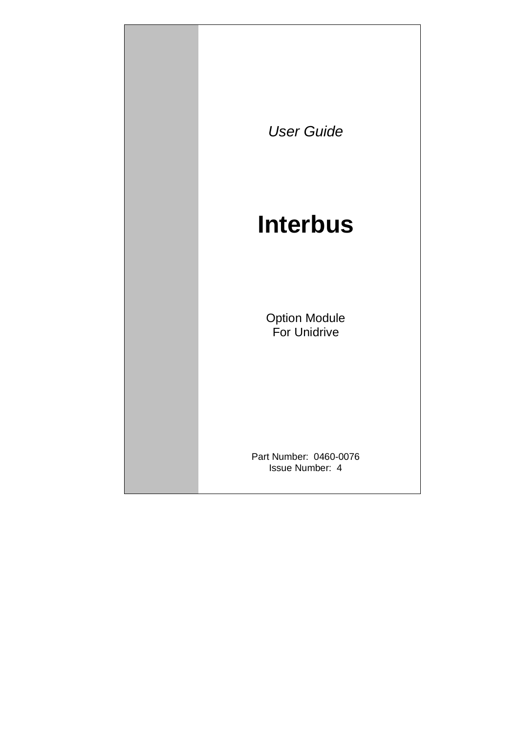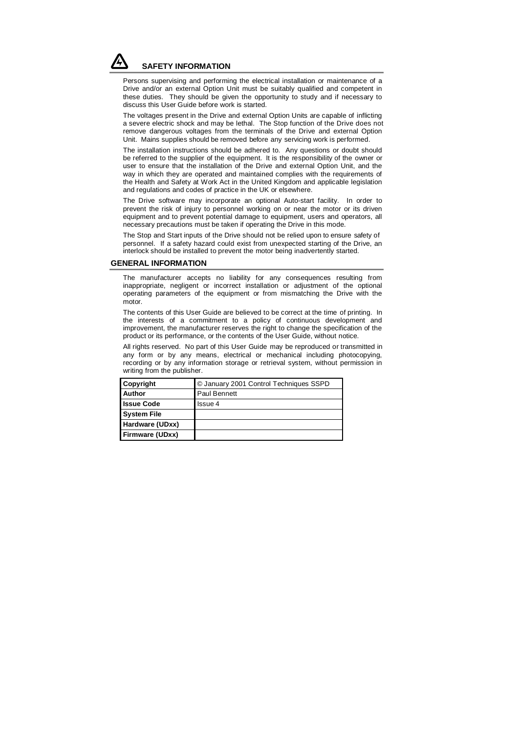

Persons supervising and performing the electrical installation or maintenance of a Drive and/or an external Option Unit must be suitably qualified and competent in these duties. They should be given the opportunity to study and if necessary to discuss this User Guide before work is started.

The voltages present in the Drive and external Option Units are capable of inflicting a severe electric shock and may be lethal. The Stop function of the Drive does not remove dangerous voltages from the terminals of the Drive and external Option Unit. Mains supplies should be removed before any servicing work is performed.

The installation instructions should be adhered to. Any questions or doubt should be referred to the supplier of the equipment. It is the responsibility of the owner or user to ensure that the installation of the Drive and external Option Unit, and the way in which they are operated and maintained complies with the requirements of the Health and Safety at Work Act in the United Kingdom and applicable legislation and regulations and codes of practice in the UK or elsewhere.

The Drive software may incorporate an optional Auto-start facility. In order to prevent the risk of injury to personnel working on or near the motor or its driven equipment and to prevent potential damage to equipment, users and operators, all necessary precautions must be taken if operating the Drive in this mode.

The Stop and Start inputs of the Drive should not be relied upon to ensure safety of personnel. If a safety hazard could exist from unexpected starting of the Drive, an interlock should be installed to prevent the motor being inadvertently started.

#### **GENERAL INFORMATION**

The manufacturer accepts no liability for any consequences resulting from inappropriate, negligent or incorrect installation or adjustment of the optional operating parameters of the equipment or from mismatching the Drive with the motor.

The contents of this User Guide are believed to be correct at the time of printing. In the interests of a commitment to a policy of continuous development and improvement, the manufacturer reserves the right to change the specification of the product or its performance, or the contents of the User Guide, without notice.

All rights reserved. No part of this User Guide may be reproduced or transmitted in any form or by any means, electrical or mechanical including photocopying, recording or by any information storage or retrieval system, without permission in writing from the publisher.

| <b>Copyright</b>       | C January 2001 Control Techniques SSPD |
|------------------------|----------------------------------------|
| <b>Author</b>          | Paul Bennett                           |
| <b>Issue Code</b>      | Issue 4                                |
| <b>System File</b>     |                                        |
| Hardware (UDxx)        |                                        |
| <b>Firmware (UDxx)</b> |                                        |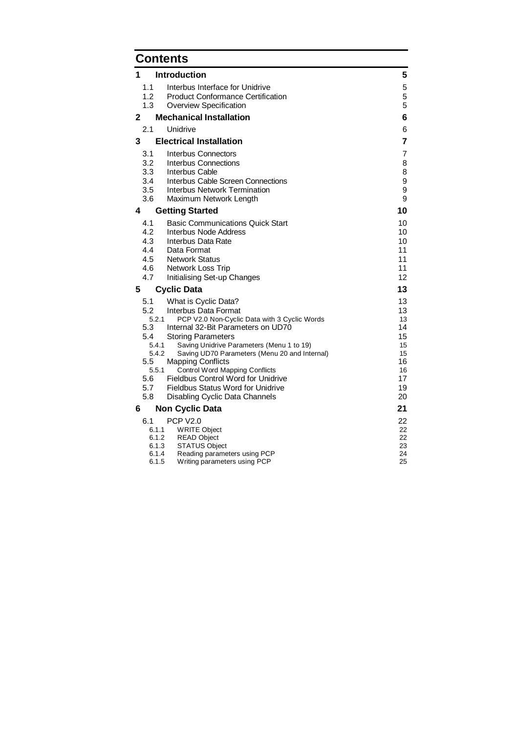# **Contents**

| 1 |                | <b>Introduction</b>                                                                        | 5        |  |
|---|----------------|--------------------------------------------------------------------------------------------|----------|--|
|   | 1.1            | Interbus Interface for Unidrive                                                            | 5        |  |
|   | 1.2            | <b>Product Conformance Certification</b>                                                   | 5        |  |
|   | 1.3            | Overview Specification                                                                     | 5        |  |
| 2 |                | <b>Mechanical Installation</b>                                                             | 6        |  |
|   | 2.1            | Unidrive                                                                                   | 6        |  |
| 3 |                | <b>Electrical Installation</b>                                                             | 7        |  |
|   | 3.1            | <b>Interbus Connectors</b>                                                                 | 7        |  |
|   | 3.2            | Interbus Connections                                                                       | 8        |  |
|   | 3.3            | Interbus Cable                                                                             | 8        |  |
|   | 3.4            | Interbus Cable Screen Connections                                                          | 9        |  |
|   | 3.5<br>3.6     | <b>Interbus Network Termination</b>                                                        | 9<br>9   |  |
|   |                | Maximum Network Length                                                                     |          |  |
| 4 |                | <b>Getting Started</b>                                                                     | 10       |  |
|   | 4.1            | <b>Basic Communications Quick Start</b>                                                    | 10       |  |
|   | 4.2<br>4.3     | Interbus Node Address<br>Interbus Data Rate                                                | 10<br>10 |  |
|   | 4.4            | Data Format                                                                                | 11       |  |
|   | 4.5            | <b>Network Status</b>                                                                      | 11       |  |
|   | 4.6            | Network Loss Trip                                                                          | 11       |  |
|   | 4.7            | Initialising Set-up Changes                                                                | 12       |  |
| 5 |                | <b>Cyclic Data</b>                                                                         | 13       |  |
|   |                |                                                                                            |          |  |
|   | 5.1            | What is Cyclic Data?                                                                       | 13       |  |
|   | 5.2            | Interbus Data Format                                                                       | 13       |  |
|   | 5.2.1          | PCP V2.0 Non-Cyclic Data with 3 Cyclic Words                                               | 13       |  |
|   | 5.3            | Internal 32-Bit Parameters on UD70                                                         | 14       |  |
|   | 5.4            | <b>Storing Parameters</b>                                                                  | 15       |  |
|   | 5.4.1<br>5.4.2 | Saving Unidrive Parameters (Menu 1 to 19)<br>Saving UD70 Parameters (Menu 20 and Internal) | 15<br>15 |  |
|   | 5.5            | <b>Mapping Conflicts</b>                                                                   | 16       |  |
|   | 5.5.1          | <b>Control Word Mapping Conflicts</b>                                                      | 16       |  |
|   | 5.6            | Fieldbus Control Word for Unidrive                                                         | 17       |  |
|   | 5.7<br>5.8     | <b>Fieldbus Status Word for Unidrive</b>                                                   | 19<br>20 |  |
|   |                | Disabling Cyclic Data Channels                                                             | 21       |  |
| 6 |                | <b>Non Cyclic Data</b>                                                                     |          |  |
|   | 6.1<br>6.1.1   | <b>PCP V2.0</b>                                                                            | 22<br>22 |  |
|   | 6.1.2          | <b>WRITE Object</b><br><b>READ Object</b>                                                  | 22       |  |
|   | 6.1.3          | <b>STATUS Object</b>                                                                       | 23       |  |
|   | 6.1.4<br>6.1.5 | Reading parameters using PCP<br>Writing parameters using PCP                               | 24<br>25 |  |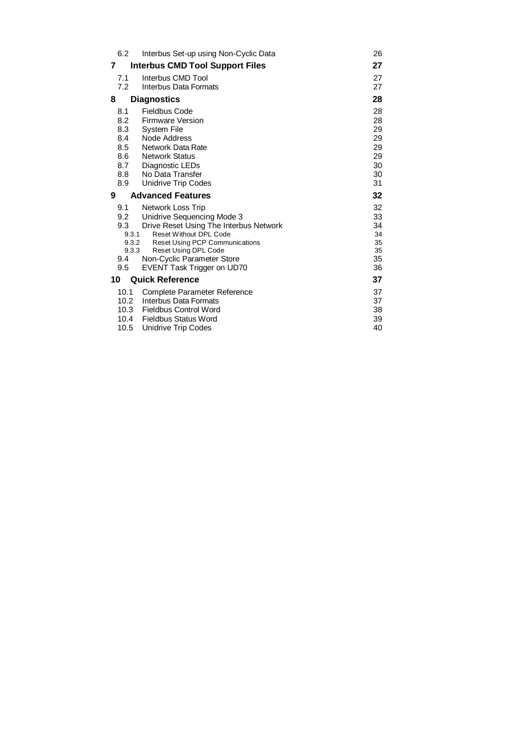| 6.2          | Interbus Set-up using Non-Cyclic Data                   | 26       |
|--------------|---------------------------------------------------------|----------|
| 7            | <b>Interbus CMD Tool Support Files</b>                  | 27       |
| 7.1<br>7.2   | Interbus CMD Tool<br>Interbus Data Formats              | 27<br>27 |
| 8            | <b>Diagnostics</b>                                      | 28       |
| 8.1          | Fieldbus Code                                           | 28       |
| 8.2          | <b>Firmware Version</b>                                 | 28       |
| 8.3          | <b>System File</b>                                      | 29       |
| 8.4          | Node Address                                            | 29       |
| 8.5          | Network Data Rate                                       | 29       |
| 8.6<br>8.7   | <b>Network Status</b><br>Diagnostic LEDs                | 29<br>30 |
| 8.8          | No Data Transfer                                        | 30       |
| 8.9          | Unidrive Trip Codes                                     | 31       |
|              |                                                         |          |
| 9            | <b>Advanced Features</b>                                | 32       |
| 9.1          | Network Loss Trip                                       | 32       |
| 9.2          | Unidrive Sequencing Mode 3                              | 33       |
| 9.3          | Drive Reset Using The Interbus Network                  | 34       |
| 9.3.1        | <b>Reset Without DPL Code</b>                           | 34       |
| 9.3.2        | <b>Reset Using PCP Communications</b>                   | 35       |
| 9.3.3<br>9.4 | Reset Using DPL Code<br>Non-Cyclic Parameter Store      | 35<br>35 |
| 9.5          | EVENT Task Trigger on UD70                              | 36       |
| 10           | <b>Quick Reference</b>                                  | 37       |
| 10.1         | Complete Parameter Reference                            | 37       |
|              | 10.2 Interbus Data Formats                              | 37       |
|              | 10.3 Fieldbus Control Word                              | 38       |
| 10.5         | 10.4 Fieldbus Status Word<br><b>Unidrive Trip Codes</b> | 39<br>40 |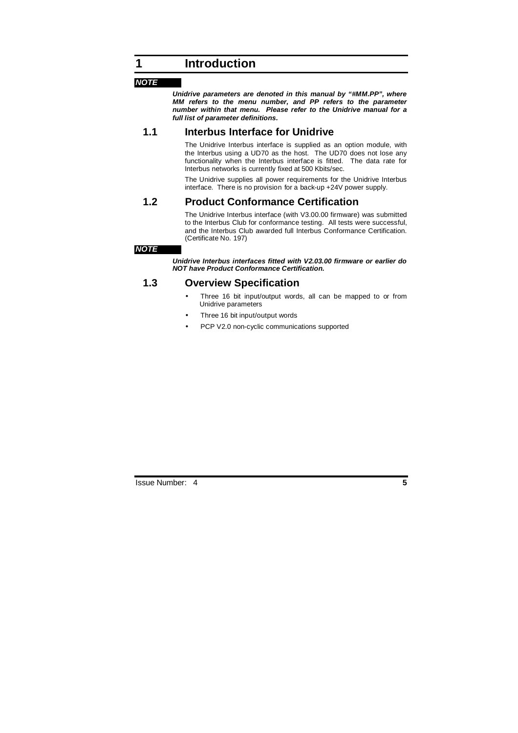#### **NOTE**

**Unidrive parameters are denoted in this manual by "#MM.PP", where MM refers to the menu number, and PP refers to the parameter number within that menu. Please refer to the Unidrive manual for a full list of parameter definitions.** 

### **1.1 Interbus Interface for Unidrive**

The Unidrive Interbus interface is supplied as an option module, with the Interbus using a UD70 as the host. The UD70 does not lose any functionality when the Interbus interface is fitted. The data rate for Interbus networks is currently fixed at 500 Kbits/sec.

The Unidrive supplies all power requirements for the Unidrive Interbus interface. There is no provision for a back-up +24V power supply.

## **1.2 Product Conformance Certification**

The Unidrive Interbus interface (with V3.00.00 firmware) was submitted to the Interbus Club for conformance testing. All tests were successful, and the Interbus Club awarded full Interbus Conformance Certification. (Certificate No. 197)

#### **NOTE**

**Unidrive Interbus interfaces fitted with V2.03.00 firmware or earlier do NOT have Product Conformance Certification.** 

## **1.3 Overview Specification**

- Three 16 bit input/output words, all can be mapped to or from Unidrive parameters
- Three 16 bit input/output words
- PCP V2.0 non-cyclic communications supported

Issue Number: 4 **5**

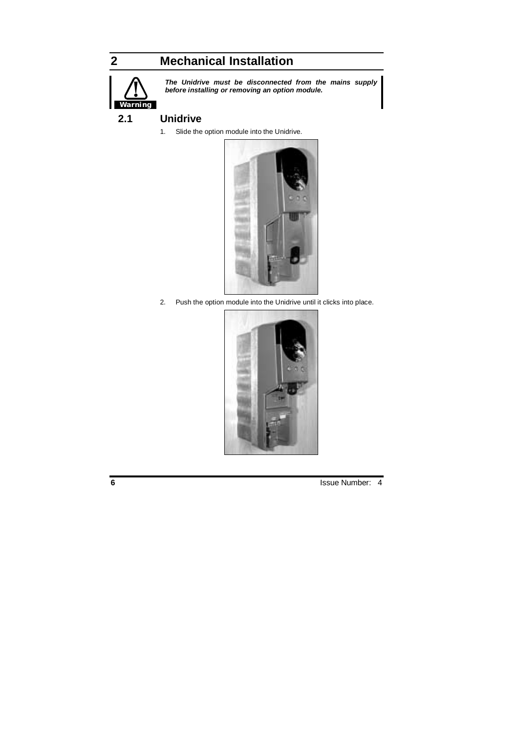# **2 Mechanical Installation**



**The Unidrive must be disconnected from the mains supply before installing or removing an option module.** 

## **2.1 Unidrive**

1. Slide the option module into the Unidrive.



2. Push the option module into the Unidrive until it clicks into place.

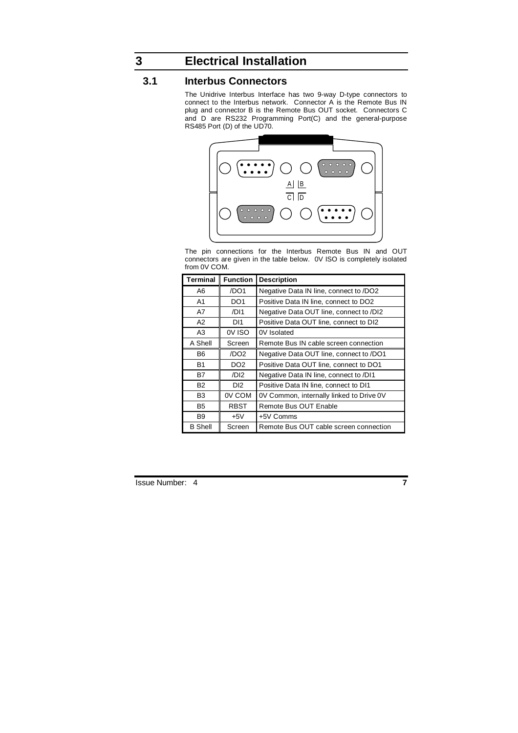# **3 Electrical Installation**

## **3.1 Interbus Connectors**

The Unidrive Interbus Interface has two 9-way D-type connectors to connect to the Interbus network. Connector A is the Remote Bus IN plug and connector B is the Remote Bus OUT socket. Connectors C and D are RS232 Programming Port(C) and the general-purpose RS485 Port (D) of the UD70.



The pin connections for the Interbus Remote Bus IN and OUT connectors are given in the table below. 0V ISO is completely isolated from 0V COM.

| <b>Terminal</b> | <b>Function</b>  | <b>Description</b>                       |  |  |
|-----------------|------------------|------------------------------------------|--|--|
| A6              | /DO1             | Negative Data IN line, connect to /DO2   |  |  |
| A1              | DO <sub>1</sub>  | Positive Data IN line, connect to DO2    |  |  |
| A7              | /DI1             | Negative Data OUT line, connect to /DI2  |  |  |
| A2              | DI1              | Positive Data OUT line, connect to DI2   |  |  |
| A3              | OV ISO           | 0V Isolated                              |  |  |
| A Shell         | Screen           | Remote Bus IN cable screen connection    |  |  |
| B6              | /DO <sub>2</sub> | Negative Data OUT line, connect to /DO1  |  |  |
| <b>B1</b>       | DO <sub>2</sub>  | Positive Data OUT line, connect to DO1   |  |  |
| B7              | /DI <sub>2</sub> | Negative Data IN line, connect to /DI1   |  |  |
| <b>B2</b>       | DI <sub>2</sub>  | Positive Data IN line, connect to DI1    |  |  |
| B3              | 0V COM           | 0V Common, internally linked to Drive 0V |  |  |
| <b>B5</b>       | <b>RBST</b>      | Remote Bus OUT Enable                    |  |  |
| B <sub>9</sub>  | $+5V$            | +5V Comms                                |  |  |
| <b>B</b> Shell  | Screen           | Remote Bus OUT cable screen connection   |  |  |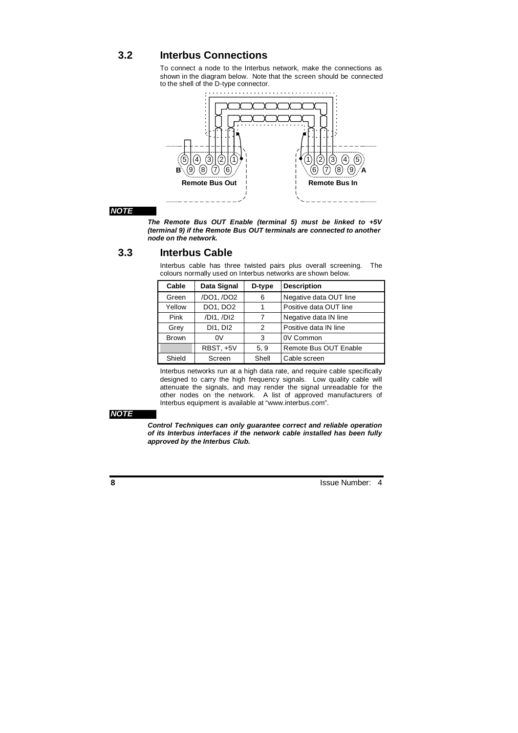## **3.2 Interbus Connections**

To connect a node to the Interbus network, make the connections as shown in the diagram below. Note that the screen should be connected to the shell of the D-type connector.



#### **NOTE**

**The Remote Bus OUT Enable (terminal 5) must be linked to +5V (terminal 9) if the Remote Bus OUT terminals are connected to another node on the network.** 

## **3.3 Interbus Cable**

Interbus cable has three twisted pairs plus overall screening. The colours normally used on Interbus networks are shown below.

| Cable        | Data Signal | D-type | <b>Description</b>     |
|--------------|-------------|--------|------------------------|
| Green        | /DO1, /DO2  | 6      | Negative data OUT line |
| Yellow       | DO1, DO2    |        | Positive data OUT line |
| Pink         | /DI1, /DI2  | 7      | Negative data IN line  |
| Grey         | DI1, DI2    | 2      | Positive data IN line  |
| <b>Brown</b> | 0V          | 3      | 0V Common              |
|              | RBST, +5V   | 5, 9   | Remote Bus OUT Enable  |
| Shield       | Screen      | Shell  | Cable screen           |

Interbus networks run at a high data rate, and require cable specifically designed to carry the high frequency signals. Low quality cable will attenuate the signals, and may render the signal unreadable for the other nodes on the network. A list of approved manufacturers of Interbus equipment is available at "www.interbus.com".

### **NOTE**

**Control Techniques can only guarantee correct and reliable operation of its Interbus interfaces if the network cable installed has been fully approved by the Interbus Club.**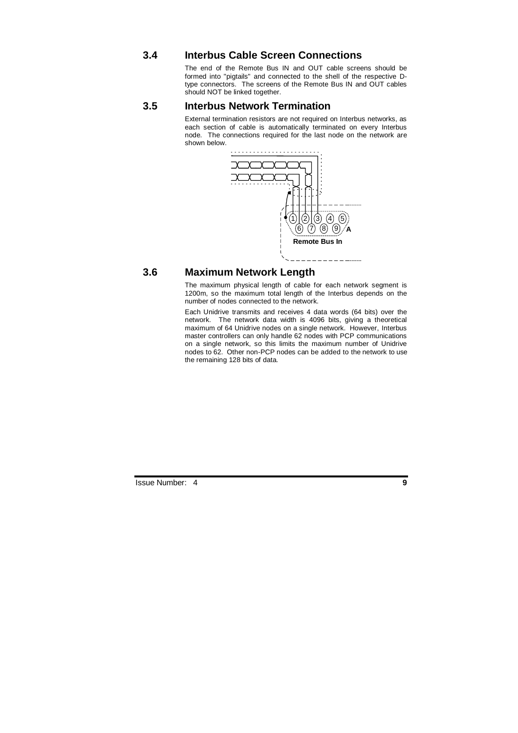## **3.4 Interbus Cable Screen Connections**

The end of the Remote Bus IN and OUT cable screens should be formed into "pigtails" and connected to the shell of the respective Dtype connectors. The screens of the Remote Bus IN and OUT cables should NOT be linked together.

## **3.5 Interbus Network Termination**

External termination resistors are not required on Interbus networks, as each section of cable is automatically terminated on every Interbus node. The connections required for the last node on the network are shown below.



## **3.6 Maximum Network Length**

The maximum physical length of cable for each network segment is 1200m, so the maximum total length of the Interbus depends on the number of nodes connected to the network.

Each Unidrive transmits and receives 4 data words (64 bits) over the network. The network data width is 4096 bits, giving a theoretical maximum of 64 Unidrive nodes on a single network. However, Interbus master controllers can only handle 62 nodes with PCP communications on a single network, so this limits the maximum number of Unidrive nodes to 62. Other non-PCP nodes can be added to the network to use the remaining 128 bits of data.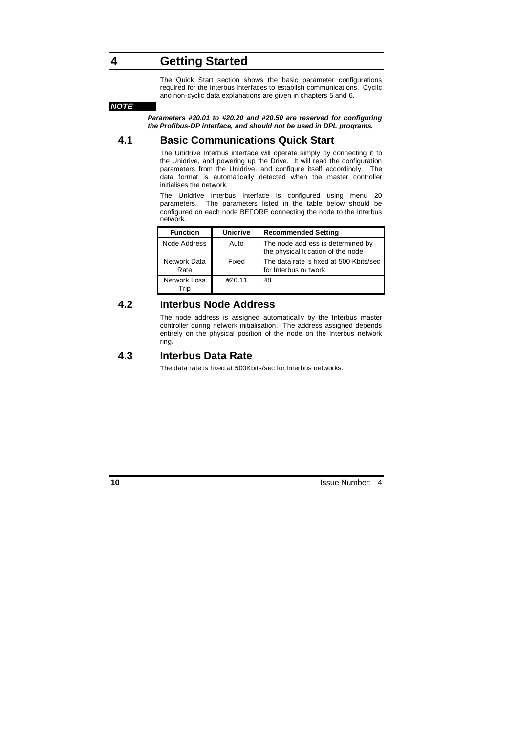## **4 Getting Started**

The Quick Start section shows the basic parameter configurations required for the Interbus interfaces to establish communications. Cyclic and non-cyclic data explanations are given in chapters 5 and 6.

#### **NOTE**

**Parameters #20.01 to #20.20 and #20.50 are reserved for configuring the Profibus-DP interface, and should not be used in DPL programs.** 

## **4.1 Basic Communications Quick Start**

The Unidrive Interbus interface will operate simply by connecting it to the Unidrive, and powering up the Drive. It will read the configuration parameters from the Unidrive, and configure itself accordingly. The data format is automatically detected when the master controller initialises the network.

The Unidrive Interbus interface is configured using menu 20 parameters. The parameters listed in the table below should be configured on each node BEFORE connecting the node to the Interbus network.

| <b>Function</b>      | <b>Unidrive</b> | <b>Recommended Setting</b>                                              |
|----------------------|-----------------|-------------------------------------------------------------------------|
| Node Address         | Auto            | The node add ess is determined by<br>the physical Ic cation of the node |
| Network Data<br>Rate | Fixed           | The data rate is fixed at 500 Kbits/sec<br>for Interbus notwork         |
| Network Loss<br>Trip | #20.11          | 48                                                                      |

## **4.2 Interbus Node Address**

The node address is assigned automatically by the Interbus master controller during network initialisation. The address assigned depends entirely on the physical position of the node on the Interbus network ring.

## **4.3 Interbus Data Rate**

The data rate is fixed at 500Kbits/sec for Interbus networks.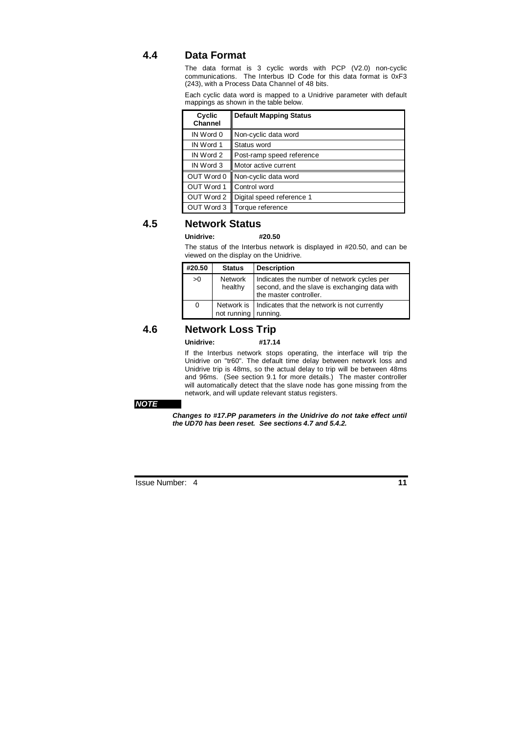## **4.4 Data Format**

The data format is 3 cyclic words with PCP (V2.0) non-cyclic communications. The Interbus ID Code for this data format is 0xF3 (243), with a Process Data Channel of 48 bits.

Each cyclic data word is mapped to a Unidrive parameter with default mappings as shown in the table below.

| Cyclic<br>Channel | <b>Default Mapping Status</b>  |
|-------------------|--------------------------------|
| IN Word 0         | Non-cyclic data word           |
| IN Word 1         | Status word                    |
| IN Word 2         | Post-ramp speed reference      |
| IN Word 3         | Motor active current           |
| OUT Word 0        | Non-cyclic data word           |
| OUT Word 1        | Control word                   |
| OUT Word 2        | Digital speed reference 1      |
|                   | OUT Word 3    Torque reference |

## **4.5 Network Status**

### **Unidrive: #20.50**

The status of the Interbus network is displayed in #20.50, and can be viewed on the display on the Unidrive.

| #20.50 | <b>Status</b>             | <b>Description</b>                                                                                                    |
|--------|---------------------------|-----------------------------------------------------------------------------------------------------------------------|
| >0     | <b>Network</b><br>healthy | Indicates the number of network cycles per<br>second, and the slave is exchanging data with<br>the master controller. |
| 0      | not running running.      | Network is   Indicates that the network is not currently                                                              |

## **4.6 Network Loss Trip**

#### **Unidrive: #17.14**

If the Interbus network stops operating, the interface will trip the Unidrive on "tr60". The default time delay between network loss and Unidrive trip is 48ms, so the actual delay to trip will be between 48ms and 96ms. (See section 9.1 for more details.) The master controller will automatically detect that the slave node has gone missing from the network, and will update relevant status registers.

#### **NOTE**

**Changes to #17.PP parameters in the Unidrive do not take effect until the UD70 has been reset. See sections 4.7 and 5.4.2.**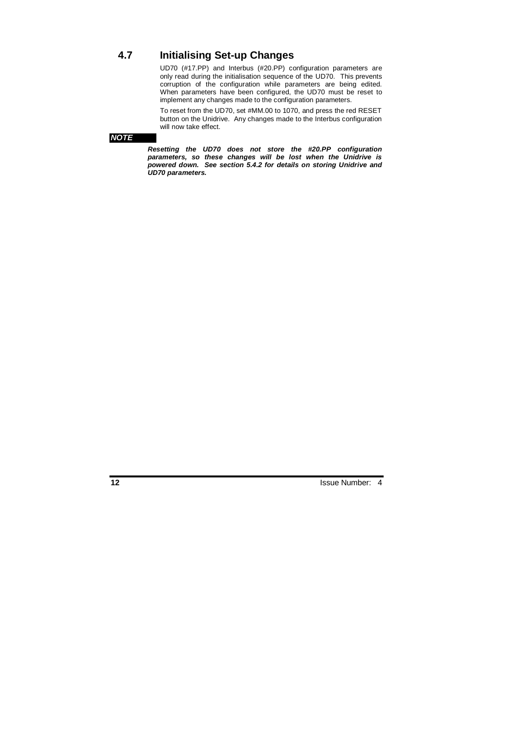## **4.7 Initialising Set-up Changes**

UD70 (#17.PP) and Interbus (#20.PP) configuration parameters are only read during the initialisation sequence of the UD70. This prevents corruption of the configuration while parameters are being edited. When parameters have been configured, the UD70 must be reset to implement any changes made to the configuration parameters.

To reset from the UD70, set #MM.00 to 1070, and press the red RESET button on the Unidrive. Any changes made to the Interbus configuration will now take effect.

#### **NOTE**

**Resetting the UD70 does not store the #20.PP configuration parameters, so these changes will be lost when the Unidrive is powered down. See section 5.4.2 for details on storing Unidrive and UD70 parameters.**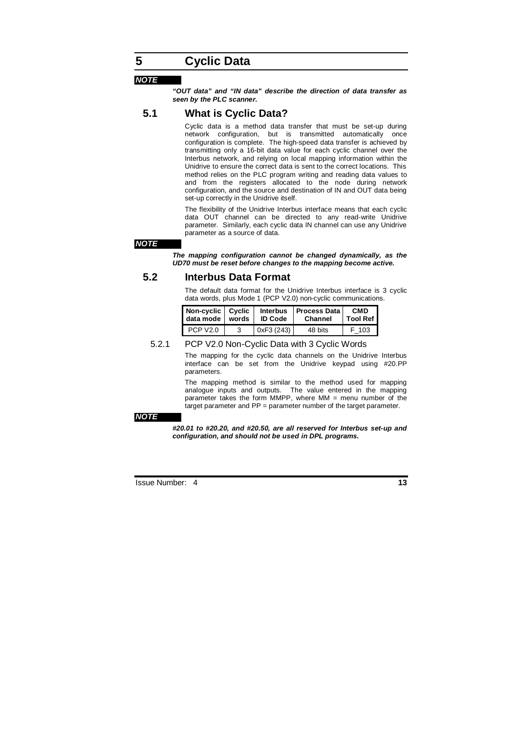## **5 Cyclic Data**

#### **NOTE**

**"OUT data" and "IN data" describe the direction of data transfer as seen by the PLC scanner.** 

## **5.1 What is Cyclic Data?**

Cyclic data is a method data transfer that must be set-up during network configuration, but is transmitted automatically once configuration is complete. The high-speed data transfer is achieved by transmitting only a 16-bit data value for each cyclic channel over the Interbus network, and relying on local mapping information within the Unidrive to ensure the correct data is sent to the correct locations. This method relies on the PLC program writing and reading data values to and from the registers allocated to the node during network configuration, and the source and destination of IN and OUT data being set-up correctly in the Unidrive itself.

The flexibility of the Unidrive Interbus interface means that each cyclic data OUT channel can be directed to any read-write Unidrive parameter. Similarly, each cyclic data IN channel can use any Unidrive parameter as a source of data.

#### **NOTE**

**The mapping configuration cannot be changed dynamically, as the UD70 must be reset before changes to the mapping become active.** 

## **5.2 Interbus Data Format**

The default data format for the Unidrive Interbus interface is 3 cyclic data words, plus Mode 1 (PCP V2.0) non-cyclic communications.

| Non-cyclic   Cyclic<br>data mode<br>words |  | <b>Interbus</b><br><b>ID Code</b> | <b>Process Data</b><br>Channel | <b>CMD</b><br><b>Tool Ref</b> I |
|-------------------------------------------|--|-----------------------------------|--------------------------------|---------------------------------|
| PCP V <sub>2.0</sub>                      |  | 0xF3 (243)                        | 48 bits                        | ີ 103                           |

#### 5.2.1 PCP V2.0 Non-Cyclic Data with 3 Cyclic Words

The mapping for the cyclic data channels on the Unidrive Interbus interface can be set from the Unidrive keypad using #20.PP parameters.

The mapping method is similar to the method used for mapping analogue inputs and outputs. The value entered in the mapping parameter takes the form MMPP, where MM = menu number of the target parameter and PP = parameter number of the target parameter.

#### **NOTE**

**#20.01 to #20.20, and #20.50, are all reserved for Interbus set-up and configuration, and should not be used in DPL programs.**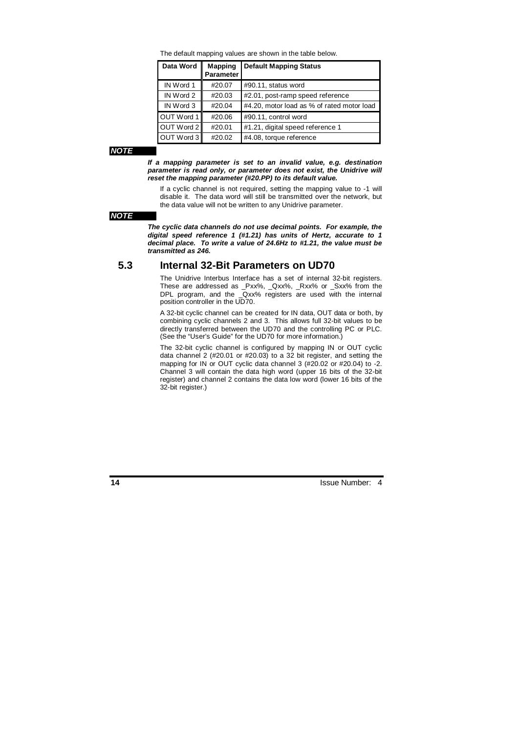The default mapping values are shown in the table below.

| Data Word  | <b>Mapping</b><br><b>Parameter</b> | <b>Default Mapping Status</b>              |
|------------|------------------------------------|--------------------------------------------|
| IN Word 1  | #20.07                             | #90.11, status word                        |
| IN Word 2  | #20.03                             | #2.01, post-ramp speed reference           |
| IN Word 3  | #20.04                             | #4.20, motor load as % of rated motor load |
| OUT Word 1 | #20.06                             | #90.11, control word                       |
| OUT Word 2 | #20.01                             | #1.21, digital speed reference 1           |
| OUT Word 3 | #20.02                             | #4.08, torque reference                    |

**NOTE** 

**If a mapping parameter is set to an invalid value, e.g. destination parameter is read only, or parameter does not exist, the Unidrive will reset the mapping parameter (#20.PP) to its default value.** 

If a cyclic channel is not required, setting the mapping value to -1 will disable it. The data word will still be transmitted over the network, but the data value will not be written to any Unidrive parameter.

#### **NOTE**

**The cyclic data channels do not use decimal points. For example, the digital speed reference 1 (#1.21) has units of Hertz, accurate to 1 decimal place. To write a value of 24.6Hz to #1.21, the value must be transmitted as 246.** 

### **5.3 Internal 32-Bit Parameters on UD70**

The Unidrive Interbus Interface has a set of internal 32-bit registers. These are addressed as \_Pxx%, \_Qxx%, \_Rxx% or \_Sxx% from the DPL program, and the \_Qxx% registers are used with the internal position controller in the UD70.

A 32-bit cyclic channel can be created for IN data, OUT data or both, by combining cyclic channels 2 and 3. This allows full 32-bit values to be directly transferred between the UD70 and the controlling PC or PLC. (See the "User's Guide" for the UD70 for more information.)

The 32-bit cyclic channel is configured by mapping IN or OUT cyclic data channel 2 (#20.01 or #20.03) to a 32 bit register, and setting the mapping for IN or OUT cyclic data channel 3 (#20.02 or #20.04) to -2. Channel 3 will contain the data high word (upper 16 bits of the 32-bit register) and channel 2 contains the data low word (lower 16 bits of the 32-bit register.)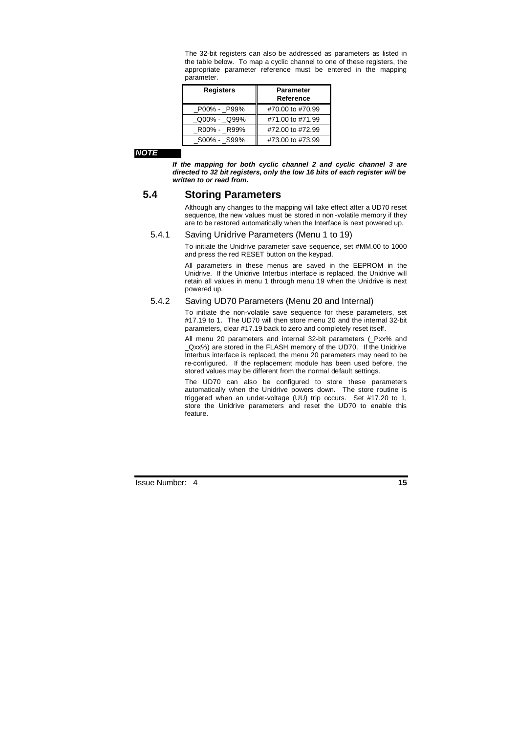The 32-bit registers can also be addressed as parameters as listed in the table below. To map a cyclic channel to one of these registers, the appropriate parameter reference must be entered in the mapping parameter.

| <b>Registers</b> | <b>Parameter</b><br>Reference |
|------------------|-------------------------------|
| P00% - P99%      | #70.00 to #70.99              |
| Q00% - Q99%      | #71.00 to #71.99              |
| R00% - R99%      | #72.00 to #72.99              |
| S00% - S99%      | #73.00 to #73.99              |

#### **NOTE**

**If the mapping for both cyclic channel 2 and cyclic channel 3 are directed to 32 bit registers, only the low 16 bits of each register will be written to or read from.** 

## **5.4 Storing Parameters**

Although any changes to the mapping will take effect after a UD70 reset sequence, the new values must be stored in non -volatile memory if they are to be restored automatically when the Interface is next powered up.

### 5.4.1 Saving Unidrive Parameters (Menu 1 to 19)

To initiate the Unidrive parameter save sequence, set #MM.00 to 1000 and press the red RESET button on the keypad.

All parameters in these menus are saved in the EEPROM in the Unidrive. If the Unidrive Interbus interface is replaced, the Unidrive will retain all values in menu 1 through menu 19 when the Unidrive is next powered up.

### 5.4.2 Saving UD70 Parameters (Menu 20 and Internal)

To initiate the non-volatile save sequence for these parameters, set #17.19 to 1. The UD70 will then store menu 20 and the internal 32-bit parameters, clear #17.19 back to zero and completely reset itself.

All menu 20 parameters and internal 32-bit parameters (\_Pxx% and Qxx%) are stored in the FLASH memory of the UD70. If the Unidrive Interbus interface is replaced, the menu 20 parameters may need to be re-configured. If the replacement module has been used before, the stored values may be different from the normal default settings.

The UD70 can also be configured to store these parameters automatically when the Unidrive powers down. The store routine is triggered when an under-voltage (UU) trip occurs. Set #17.20 to 1, store the Unidrive parameters and reset the UD70 to enable this feature.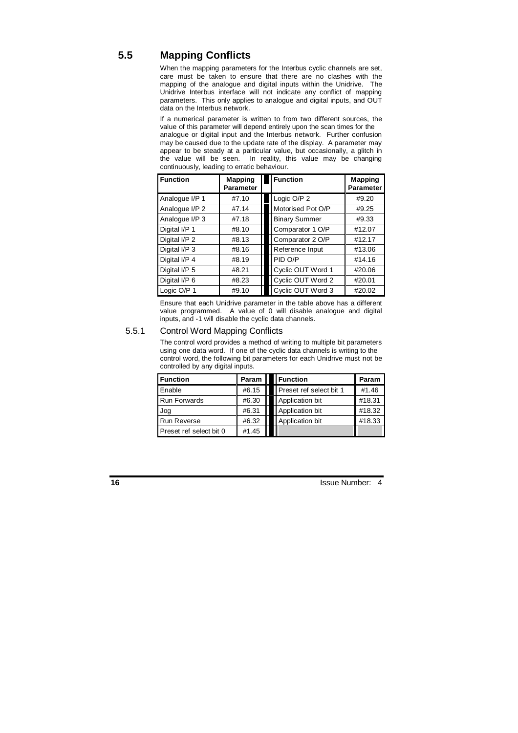## **5.5 Mapping Conflicts**

When the mapping parameters for the Interbus cyclic channels are set, care must be taken to ensure that there are no clashes with the mapping of the analogue and digital inputs within the Unidrive. The Unidrive Interbus interface will not indicate any conflict of mapping parameters. This only applies to analogue and digital inputs, and OUT data on the Interbus network.

If a numerical parameter is written to from two different sources, the value of this parameter will depend entirely upon the scan times for the analogue or digital input and the Interbus network. Further confusion may be caused due to the update rate of the display. A parameter may appear to be steady at a particular value, but occasionally, a glitch in the value will be seen. In reality, this value may be changing continuously, leading to erratic behaviour.

| <b>Function</b> | <b>Mapping</b><br><b>Parameter</b> | <b>Function</b>      | <b>Mapping</b><br><b>Parameter</b> |
|-----------------|------------------------------------|----------------------|------------------------------------|
| Analogue I/P 1  | #7.10                              | Logic O/P 2          | #9.20                              |
| Analogue I/P 2  | #7.14                              | Motorised Pot O/P    | #9.25                              |
| Analogue I/P 3  | #7.18                              | <b>Binary Summer</b> | #9.33                              |
| Digital I/P 1   | #8.10                              | Comparator 1 O/P     | #12.07                             |
| Digital I/P 2   | #8.13                              | Comparator 2 O/P     | #12.17                             |
| Digital I/P 3   | #8.16                              | Reference Input      | #13.06                             |
| Digital I/P 4   | #8.19                              | PID O/P              | #14.16                             |
| Digital I/P 5   | #8.21                              | Cyclic OUT Word 1    | #20.06                             |
| Digital I/P 6   | #8.23                              | Cyclic OUT Word 2    | #20.01                             |
| Logic O/P 1     | #9.10                              | Cyclic OUT Word 3    | #20.02                             |

Ensure that each Unidrive parameter in the table above has a different value programmed. A value of 0 will disable analogue and digital inputs, and -1 will disable the cyclic data channels.

### 5.5.1 Control Word Mapping Conflicts

The control word provides a method of writing to multiple bit parameters using one data word. If one of the cyclic data channels is writing to the control word, the following bit parameters for each Unidrive must not be controlled by any digital inputs.

| <b>Function</b>         | Param | <b>I</b> Function       | Param  |
|-------------------------|-------|-------------------------|--------|
| Enable                  | #6.15 | Preset ref select bit 1 | #1.46  |
| <b>Run Forwards</b>     | #6.30 | Application bit         | #18.31 |
| Jog                     | #6.31 | Application bit         | #18.32 |
| <b>Run Reverse</b>      | #6.32 | Application bit         | #18.33 |
| Preset ref select bit 0 | #1.45 |                         |        |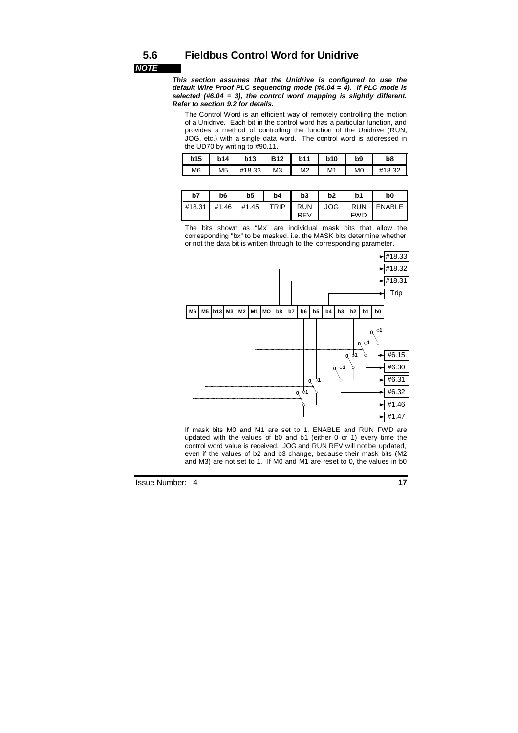## **5.6 Fieldbus Control Word for Unidrive**

**NOTE** 

**This section assumes that the Unidrive is configured to use the default Wire Proof PLC sequencing mode (#6.04 = 4). If PLC mode is selected (#6.04 = 3), the control word mapping is slightly different. Refer to section 9.2 for details.** 

The Control Word is an efficient way of remotely controlling the motion of a Unidrive. Each bit in the control word has a particular function, and provides a method of controlling the function of the Unidrive (RUN, JOG, etc.) with a single data word. The control word is addressed in the UD70 by writing to #90.11.

| b15            | <b>b14</b>     | <b>b13</b> | <b>B12</b>     | <b>b11</b>     | <b>b10</b>     | b <sub>9</sub> | b8     |
|----------------|----------------|------------|----------------|----------------|----------------|----------------|--------|
| M <sub>6</sub> | M <sub>5</sub> | #18.33     | M <sub>3</sub> | M <sub>2</sub> | M <sub>1</sub> | M <sub>0</sub> | #18.32 |

| ║<br>b7                                                                                                                                                                                                                                                                                                                                                                                                                                                                                                                                                                | b <sub>6</sub> | b <sub>5</sub> | b4          | b3                | b2         | b1                       | b0     |
|------------------------------------------------------------------------------------------------------------------------------------------------------------------------------------------------------------------------------------------------------------------------------------------------------------------------------------------------------------------------------------------------------------------------------------------------------------------------------------------------------------------------------------------------------------------------|----------------|----------------|-------------|-------------------|------------|--------------------------|--------|
| $\left  \right. \left  \right. \left  \right. \left  \right. \left  \right. \left  \right. \left  \right. \left  \right. \left  \right. \left  \right. \left  \right. \left  \right. \left  \right. \left  \right. \left  \right. \left  \right. \left  \right. \left  \right. \left  \right. \left  \right. \left  \right. \left  \right. \left  \right. \left  \right. \left  \right. \left  \right. \left  \right. \left  \right. \left  \right. \left  \right. \left  \right. \left  \right. \left  \right. \left  \right. \left  \right. \left  \right. \left  \$ |                |                | <b>TRIP</b> | <b>RUN</b><br>REV | <b>JOG</b> | <b>RUN</b><br><b>FWD</b> | ENABLE |

The bits shown as "Mx" are individual mask bits that allow the corresponding "bx" to be masked, i.e. the MASK bits determine whether or not the data bit is written through to the corresponding parameter.



If mask bits M0 and M1 are set to 1, ENABLE and RUN FWD are updated with the values of b0 and b1 (either 0 or 1) every time the control word value is received. JOG and RUN REV will not be updated, even if the values of b2 and b3 change, because their mask bits (M2 and M3) are not set to 1. If M0 and M1 are reset to 0, the values in b0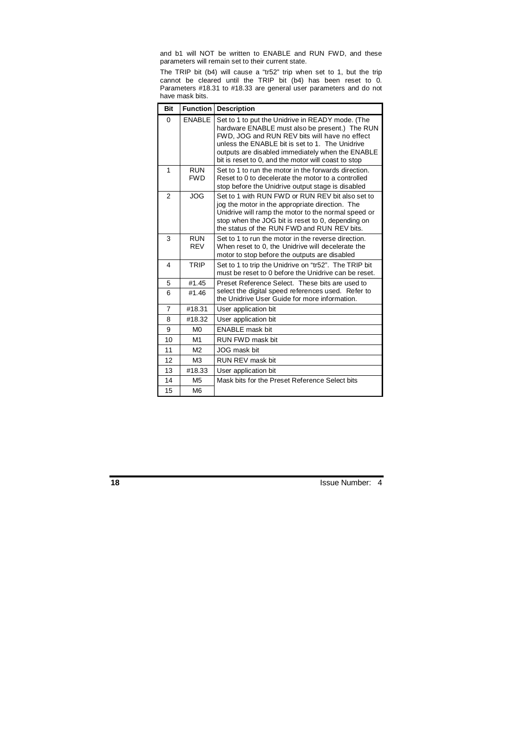and b1 will NOT be written to ENABLE and RUN FWD, and these parameters will remain set to their current state.

The TRIP bit (b4) will cause a "tr52" trip when set to 1, but the trip cannot be cleared until the TRIP bit (b4) has been reset to 0. Parameters #18.31 to #18.33 are general user parameters and do not have mask bits.

| <b>Bit</b>     |                          | <b>Function Description</b>                                                                                                                                                                                                                                                                                       |
|----------------|--------------------------|-------------------------------------------------------------------------------------------------------------------------------------------------------------------------------------------------------------------------------------------------------------------------------------------------------------------|
| $\Omega$       | <b>ENABLE</b>            | Set to 1 to put the Unidrive in READY mode. (The<br>hardware ENABLE must also be present.) The RUN<br>FWD, JOG and RUN REV bits will have no effect<br>unless the ENABLE bit is set to 1. The Unidrive<br>outputs are disabled immediately when the ENABLE<br>bit is reset to 0, and the motor will coast to stop |
| 1              | <b>RUN</b><br><b>FWD</b> | Set to 1 to run the motor in the forwards direction.<br>Reset to 0 to decelerate the motor to a controlled<br>stop before the Unidrive output stage is disabled                                                                                                                                                   |
| $\mathfrak{p}$ | <b>JOG</b>               | Set to 1 with RUN FWD or RUN REV bit also set to<br>jog the motor in the appropriate direction. The<br>Unidrive will ramp the motor to the normal speed or<br>stop when the JOG bit is reset to 0, depending on<br>the status of the RUN FWD and RUN REV bits.                                                    |
| 3              | <b>RUN</b><br><b>RFV</b> | Set to 1 to run the motor in the reverse direction.<br>When reset to 0, the Unidrive will decelerate the<br>motor to stop before the outputs are disabled                                                                                                                                                         |
| 4              | <b>TRIP</b>              | Set to 1 to trip the Unidrive on "tr52". The TRIP bit<br>must be reset to 0 before the Unidrive can be reset.                                                                                                                                                                                                     |
| 5              | #1.45                    | Preset Reference Select. These bits are used to                                                                                                                                                                                                                                                                   |
| 6              | #1.46                    | select the digital speed references used. Refer to<br>the Unidrive User Guide for more information.                                                                                                                                                                                                               |
| $\overline{7}$ | #18.31                   | User application bit                                                                                                                                                                                                                                                                                              |
| 8              | #18.32                   | User application bit                                                                                                                                                                                                                                                                                              |
| 9              | M <sub>0</sub>           | <b>ENABLE</b> mask bit                                                                                                                                                                                                                                                                                            |
| 10             | M1                       | RUN FWD mask bit                                                                                                                                                                                                                                                                                                  |
| 11             | M <sub>2</sub>           | JOG mask bit                                                                                                                                                                                                                                                                                                      |
| 12             | M <sub>3</sub>           | RUN REV mask bit                                                                                                                                                                                                                                                                                                  |
| 13             | #18.33                   | User application bit                                                                                                                                                                                                                                                                                              |
| 14             | M <sub>5</sub>           | Mask bits for the Preset Reference Select bits                                                                                                                                                                                                                                                                    |
| 15             | M <sub>6</sub>           |                                                                                                                                                                                                                                                                                                                   |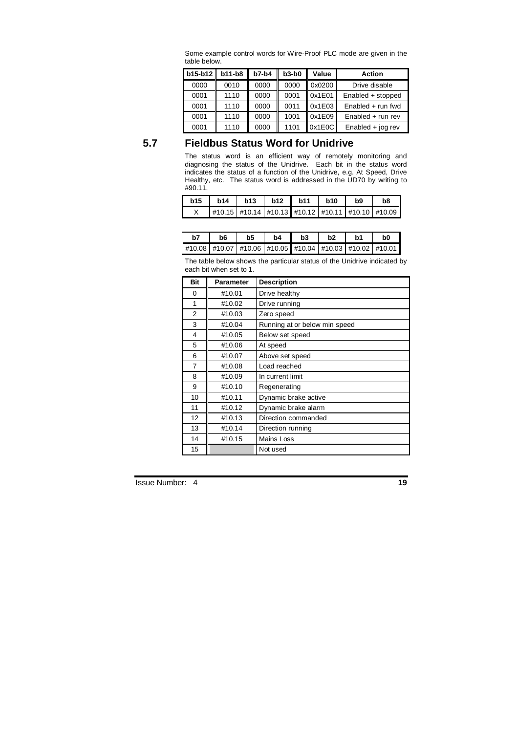| b15-b12 | $b11-b8$ | $b7-b4$ | $b3-b0$ | Value  | <b>Action</b>       |  |  |
|---------|----------|---------|---------|--------|---------------------|--|--|
| 0000    | 0010     | 0000    | 0000    | 0x0200 | Drive disable       |  |  |
| 0001    | 1110     | 0000    | 0001    | 0x1E01 | Enabled + stopped   |  |  |
| 0001    | 1110     | 0000    | 0011    | 0x1E03 | Enabled $+$ run fwd |  |  |
| 0001    | 1110     | 0000    | 1001    | 0x1E09 | $Enabled + run rev$ |  |  |
| 0001    | 1110     | 0000    | 1101    | 0x1E0C | Enabled $+$ jog rev |  |  |

Some example control words for Wire-Proof PLC mode are given in the table below.

# **5.7 Fieldbus Status Word for Unidrive**

The status word is an efficient way of remotely monitoring and diagnosing the status of the Unidrive. Each bit in the status word indicates the status of a function of the Unidrive, e.g. At Speed, Drive Healthy, etc. The status word is addressed in the UD70 by writing to #90.11.

| b15 |                                                             |  | $b14$   $b13$   $b12$   $b11$   $b10$ | <b>b</b> 9 | b <sub>8</sub> |
|-----|-------------------------------------------------------------|--|---------------------------------------|------------|----------------|
|     | #10.15  #10.14   #10.13   #10.12   #10.11   #10.10   #10.09 |  |                                       |            |                |

| b7 | b6 | b5 | b4 | b3 | b <sub>2</sub> | .h1                                                                    | bC |
|----|----|----|----|----|----------------|------------------------------------------------------------------------|----|
|    |    |    |    |    |                | #10.08   #10.07   #10.06   #10.05    #10.04   #10.03   #10.02   #10.01 |    |

The table below shows the particular status of the Unidrive indicated by each bit when set to 1.

| <b>Bit</b> | Parameter | <b>Description</b>            |
|------------|-----------|-------------------------------|
| 0          | #10.01    | Drive healthy                 |
| 1          | #10.02    | Drive running                 |
| 2          | #10.03    | Zero speed                    |
| 3          | #10.04    | Running at or below min speed |
| 4          | #10.05    | Below set speed               |
| 5          | #10.06    | At speed                      |
| 6          | #10.07    | Above set speed               |
| 7          | #10.08    | Load reached                  |
| 8          | #10.09    | In current limit              |
| 9          | #10.10    | Regenerating                  |
| 10         | #10.11    | Dynamic brake active          |
| 11         | #10.12    | Dynamic brake alarm           |
| 12         | #10.13    | Direction commanded           |
| 13         | #10.14    | Direction running             |
| 14         | #10.15    | Mains Loss                    |
| 15         |           | Not used                      |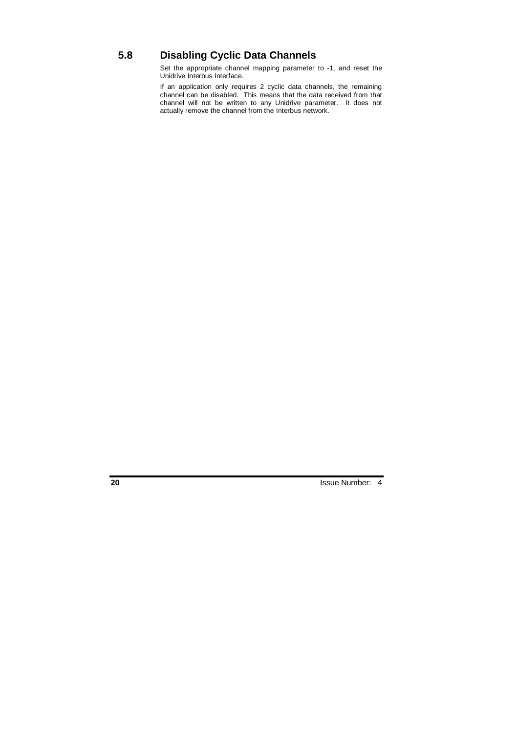# **5.8 Disabling Cyclic Data Channels**

Set the appropriate channel mapping parameter to -1, and reset the Unidrive Interbus Interface.

If an application only requires 2 cyclic data channels, the remaining channel can be disabled. This means that the data received from that channel will not be written to any Unidrive parameter. It does not actually remove the channel from the Interbus network.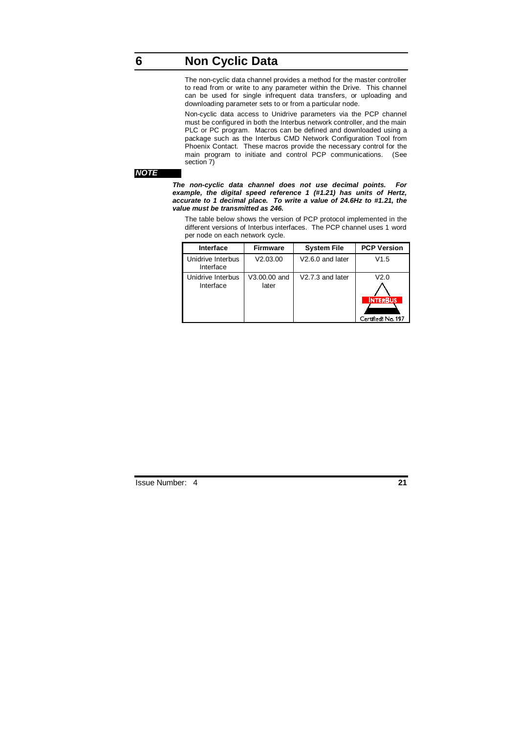# **6 Non Cyclic Data**

The non-cyclic data channel provides a method for the master controller to read from or write to any parameter within the Drive. This channel can be used for single infrequent data transfers, or uploading and downloading parameter sets to or from a particular node.

Non-cyclic data access to Unidrive parameters via the PCP channel must be configured in both the Interbus network controller, and the main PLC or PC program. Macros can be defined and downloaded using a package such as the Interbus CMD Network Configuration Tool from Phoenix Contact. These macros provide the necessary control for the main program to initiate and control PCP communications. (See section 7)

#### **NOTE**

**The non-cyclic data channel does not use decimal points. For example, the digital speed reference 1 (#1.21) has units of Hertz, accurate to 1 decimal place. To write a value of 24.6Hz to #1.21, the value must be transmitted as 246.** 

The table below shows the version of PCP protocol implemented in the different versions of Interbus interfaces. The PCP channel uses 1 word per node on each network cycle.

| Interface                      | <b>Firmware</b>       | <b>System File</b>           | <b>PCP Version</b>                            |
|--------------------------------|-----------------------|------------------------------|-----------------------------------------------|
| Unidrive Interbus<br>Interface | V2.03.00              | V <sub>2.6.0</sub> and later | V1.5                                          |
| Unidrive Interbus<br>Interface | V3.00.00 and<br>later | V2.7.3 and later             | V2.0<br><b>INTERBUS</b><br>Certified! No. 197 |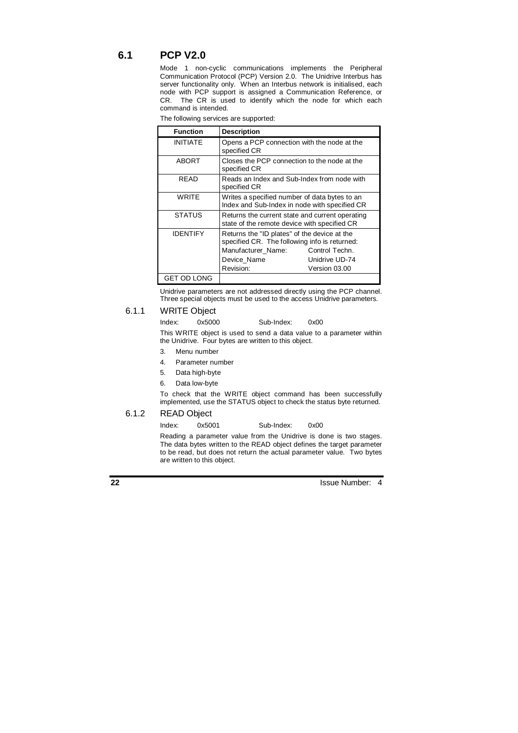## **6.1 PCP V2.0**

Mode 1 non-cyclic communications implements the Peripheral Communication Protocol (PCP) Version 2.0. The Unidrive Interbus has server functionality only. When an Interbus network is initialised, each node with PCP support is assigned a Communication Reference, or CR. The CR is used to identify which the node for which each command is intended.

| The following services are supported: |  |  |
|---------------------------------------|--|--|
|                                       |  |  |

| <b>Function</b> | <b>Description</b>                                                                                                                                                                                   |  |  |  |
|-----------------|------------------------------------------------------------------------------------------------------------------------------------------------------------------------------------------------------|--|--|--|
| <b>INITIATE</b> | Opens a PCP connection with the node at the<br>specified CR                                                                                                                                          |  |  |  |
| <b>ABORT</b>    | Closes the PCP connection to the node at the<br>specified CR                                                                                                                                         |  |  |  |
| READ            | Reads an Index and Sub-Index from node with<br>specified CR                                                                                                                                          |  |  |  |
| WRITE           | Writes a specified number of data bytes to an<br>Index and Sub-Index in node with specified CR                                                                                                       |  |  |  |
| <b>STATUS</b>   | Returns the current state and current operating<br>state of the remote device with specified CR                                                                                                      |  |  |  |
| <b>IDENTIFY</b> | Returns the "ID plates" of the device at the<br>specified CR. The following info is returned:<br>Manufacturer Name:<br>Control Techn.<br>Unidrive UD-74<br>Device Name<br>Revision:<br>Version 03.00 |  |  |  |
| GET OD LONG     |                                                                                                                                                                                                      |  |  |  |

Unidrive parameters are not addressed directly using the PCP channel. Three special objects must be used to the access Unidrive parameters.

### 6.1.1 WRITE Object

Index: 0x5000 Sub-Index: 0x00

This WRITE object is used to send a data value to a parameter within the Unidrive. Four bytes are written to this object.

- 3. Menu number
- 4. Parameter number
- 5. Data high-byte
- 6. Data low-byte

To check that the WRITE object command has been successfully implemented, use the STATUS object to check the status byte returned.

## 6.1.2 READ Object

Index: 0x5001 Sub-Index: 0x00

Reading a parameter value from the Unidrive is done is two stages. The data bytes written to the READ object defines the target parameter to be read, but does not return the actual parameter value. Two bytes are written to this object.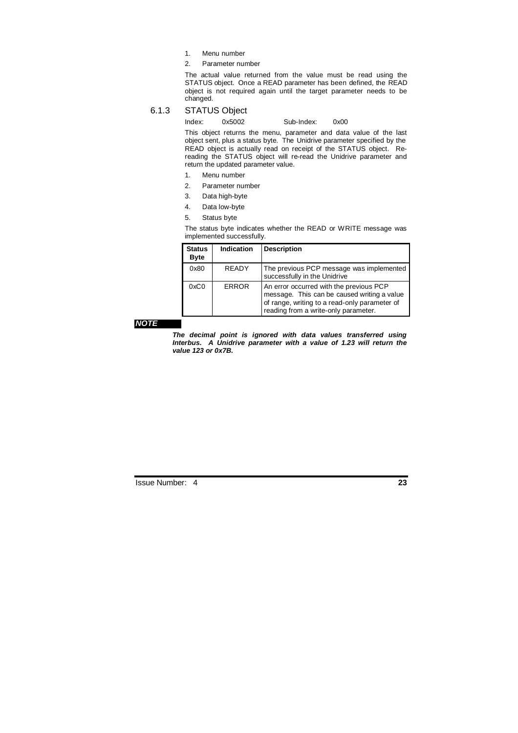- 1. Menu number
- 2. Parameter number

The actual value returned from the value must be read using the STATUS object. Once a READ parameter has been defined, the READ object is not required again until the target parameter needs to be changed.

## 6.1.3 STATUS Object

Index: 0x5002 Sub-Index: 0x00

This object returns the menu, parameter and data value of the last object sent, plus a status byte. The Unidrive parameter specified by the READ object is actually read on receipt of the STATUS object. Rereading the STATUS object will re-read the Unidrive parameter and return the updated parameter value.

- 1. Menu number
- 2. Parameter number
- 3. Data high-byte
- 4. Data low-byte
- 5. Status byte

The status byte indicates whether the READ or WRITE message was implemented successfully.

| <b>Status</b><br><b>Byte</b> | <b>Indication</b> | <b>Description</b>                                                                                                                                                              |
|------------------------------|-------------------|---------------------------------------------------------------------------------------------------------------------------------------------------------------------------------|
| 0x80                         | <b>RFADY</b>      | The previous PCP message was implemented<br>successfully in the Unidrive                                                                                                        |
| 0xC0                         | <b>ERROR</b>      | An error occurred with the previous PCP<br>message. This can be caused writing a value<br>of range, writing to a read-only parameter of<br>reading from a write-only parameter. |

#### **NOTE**

**The decimal point is ignored with data values transferred using Interbus. A Unidrive parameter with a value of 1.23 will return the value 123 or 0x7B.**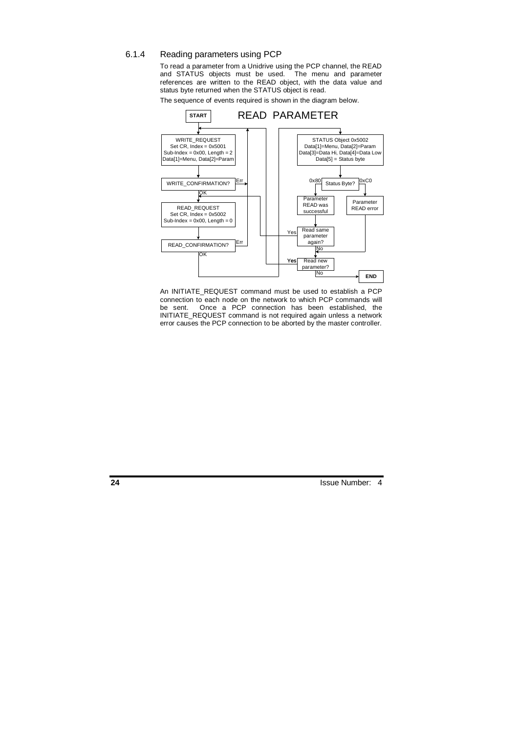#### 6.1.4 Reading parameters using PCP

To read a parameter from a Unidrive using the PCP channel, the READ and STATUS objects must be used. The menu and parameter references are written to the READ object, with the data value and status byte returned when the STATUS object is read.

The sequence of events required is shown in the diagram below.



An INITIATE\_REQUEST command must be used to establish a PCP connection to each node on the network to which PCP commands will be sent. Once a PCP connection has been established, the INITIATE\_REQUEST command is not required again unless a network error causes the PCP connection to be aborted by the master controller.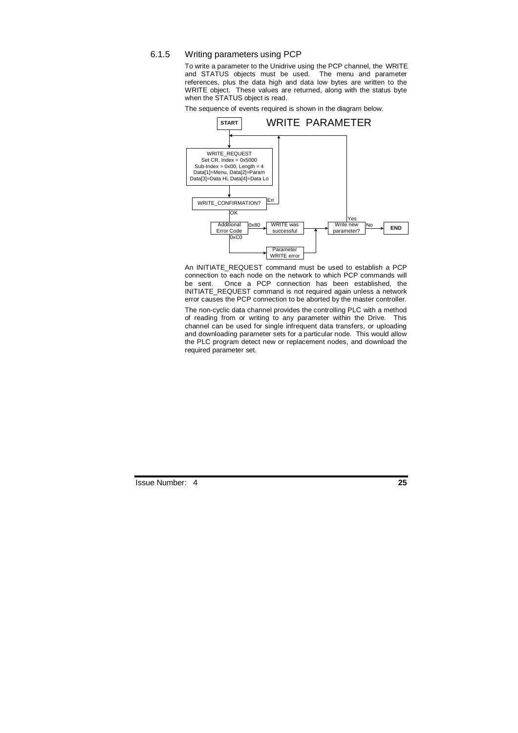### 6.1.5 Writing parameters using PCP

To write a parameter to the Unidrive using the PCP channel, the WRITE and STATUS objects must be used. The menu and parameter references, plus the data high and data low bytes are written to the WRITE object. These values are returned, along with the status byte when the STATUS object is read.

The sequence of events required is shown in the diagram below.



An INITIATE\_REQUEST command must be used to establish a PCP connection to each node on the network to which PCP commands will be sent. Once a PCP connection has been established, the INITIATE\_REQUEST command is not required again unless a network error causes the PCP connection to be aborted by the master controller.

The non-cyclic data channel provides the controlling PLC with a method of reading from or writing to any parameter within the Drive. This channel can be used for single infrequent data transfers, or uploading and downloading parameter sets for a particular node. This would allow the PLC program detect new or replacement nodes, and download the required parameter set.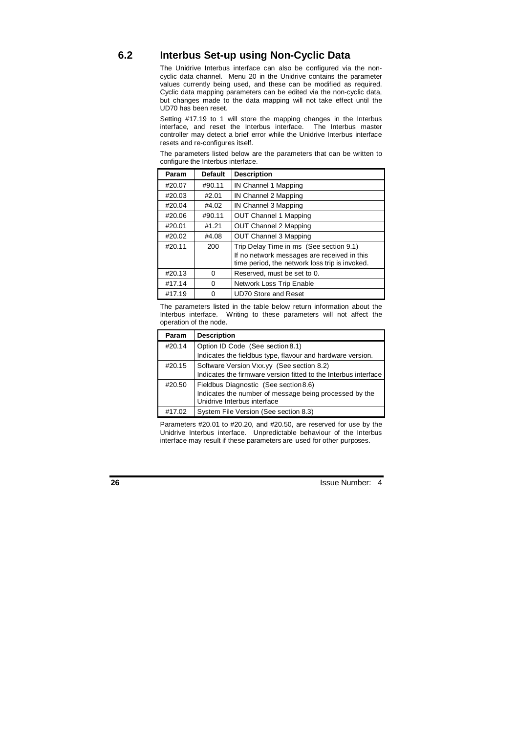## **6.2 Interbus Set-up using Non-Cyclic Data**

The Unidrive Interbus interface can also be configured via the noncyclic data channel. Menu 20 in the Unidrive contains the parameter values currently being used, and these can be modified as required. Cyclic data mapping parameters can be edited via the non-cyclic data, but changes made to the data mapping will not take effect until the UD70 has been reset.

Setting #17.19 to 1 will store the mapping changes in the Interbus interface, and reset the Interbus interface. The Interbus master controller may detect a brief error while the Unidrive Interbus interface resets and re-configures itself.

The parameters listed below are the parameters that can be written to configure the Interbus interface.

| Param  | <b>Default</b> | <b>Description</b>                                                                            |  |  |
|--------|----------------|-----------------------------------------------------------------------------------------------|--|--|
| #20.07 | #90.11         | IN Channel 1 Mapping                                                                          |  |  |
| #20.03 | #2.01          | IN Channel 2 Mapping                                                                          |  |  |
| #20.04 | #4.02          | IN Channel 3 Mapping                                                                          |  |  |
| #20.06 | #90.11         | <b>OUT Channel 1 Mapping</b>                                                                  |  |  |
| #20.01 | #1.21          | OUT Channel 2 Mapping                                                                         |  |  |
| #20.02 | #4.08          | OUT Channel 3 Mapping                                                                         |  |  |
| #20.11 | 200            | Trip Delay Time in ms (See section 9.1)                                                       |  |  |
|        |                | If no network messages are received in this<br>time period, the network loss trip is invoked. |  |  |
| #20.13 | $\Omega$       | Reserved, must be set to 0.                                                                   |  |  |
| #17.14 | $\Omega$       | Network Loss Trip Enable                                                                      |  |  |
| #17.19 | 0              | <b>UD70 Store and Reset</b>                                                                   |  |  |

The parameters listed in the table below return information about the Interbus interface. Writing to these parameters will not affect the operation of the node.

| Param  | <b>Description</b>                                                                                                             |
|--------|--------------------------------------------------------------------------------------------------------------------------------|
| #20.14 | Option ID Code (See section 8.1)<br>Indicates the fieldbus type, flavour and hardware version.                                 |
|        |                                                                                                                                |
| #20.15 | Software Version Vxx.yy (See section 8.2)<br>Indicates the firmware version fitted to the Interbus interface                   |
|        |                                                                                                                                |
| #20.50 |                                                                                                                                |
|        | Fieldbus Diagnostic (See section 8.6)<br>Indicates the number of message being processed by the<br>Unidrive Interbus interface |
| #17.02 | System File Version (See section 8.3)                                                                                          |

Parameters #20.01 to #20.20, and #20.50, are reserved for use by the Unidrive Interbus interface. Unpredictable behaviour of the Interbus interface may result if these parameters are used for other purposes.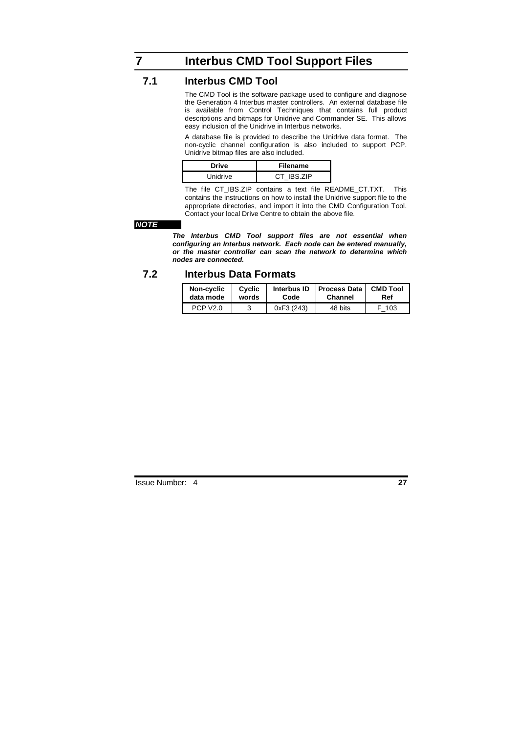# **7 Interbus CMD Tool Support Files**

## **7.1 Interbus CMD Tool**

The CMD Tool is the software package used to configure and diagnose the Generation 4 Interbus master controllers. An external database file is available from Control Techniques that contains full product descriptions and bitmaps for Unidrive and Commander SE. This allows easy inclusion of the Unidrive in Interbus networks.

A database file is provided to describe the Unidrive data format. The non-cyclic channel configuration is also included to support PCP. Unidrive bitmap files are also included.

| Drive    | <b>Filename</b> |  |
|----------|-----------------|--|
| Unidrive | CT IBS. ZIP     |  |

The file CT\_IBS.ZIP contains a text file README\_CT.TXT. This contains the instructions on how to install the Unidrive support file to the appropriate directories, and import it into the CMD Configuration Tool. Contact your local Drive Centre to obtain the above file.

#### **NOTE**

**The Interbus CMD Tool support files are not essential when configuring an Interbus network. Each node can be entered manually, or the master controller can scan the network to determine which nodes are connected.** 

## **7.2 Interbus Data Formats**

| Non-cyclic           | Cyclic | Interbus ID | <b>Process Data</b> | <b>CMD Tool</b> |
|----------------------|--------|-------------|---------------------|-----------------|
| data mode            | words  | Code        | Channel             | Ref             |
| PCP V <sub>2.0</sub> |        | 0xF3 (243)  | 48 bits             | 103             |

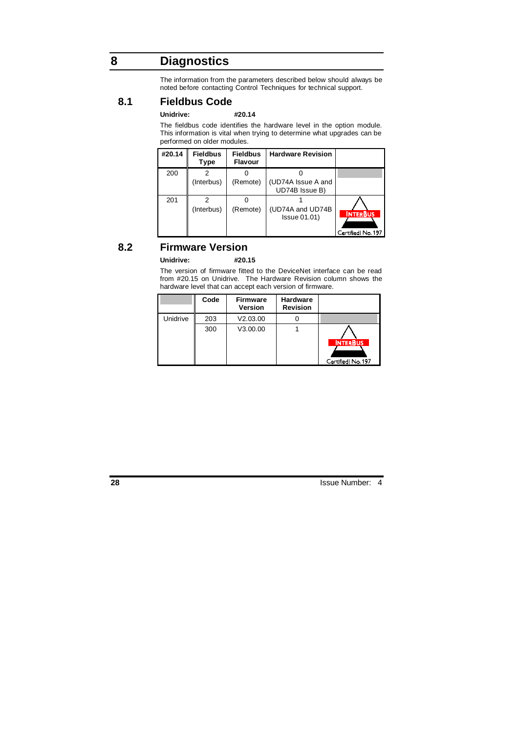# **8 Diagnostics**

The information from the parameters described below should always be noted before contacting Control Techniques for technical support.

## **8.1 Fieldbus Code**

#### **Unidrive: #20.14**

The fieldbus code identifies the hardware level in the option module. This information is vital when trying to determine what upgrades can be performed on older modules.

| #20.14 | <b>Fieldbus</b><br><b>Type</b> | <b>Fieldbus</b><br><b>Flavour</b> | <b>Hardware Revision</b>                |                                       |
|--------|--------------------------------|-----------------------------------|-----------------------------------------|---------------------------------------|
| 200    | (Interbus)                     | (Remote)                          | (UD74A Issue A and<br>UD74B Issue B)    |                                       |
| 201    | (Interbus)                     | (Remote)                          | (UD74A and UD74B<br><b>Issue 01.01)</b> | <b>INTERBUS</b><br>Certified! No. 197 |

## **8.2 Firmware Version**

### **Unidrive: #20.15**

The version of firmware fitted to the DeviceNet interface can be read from #20.15 on Unidrive. The Hardware Revision column shows the hardware level that can accept each version of firmware.

|          | Code | <b>Firmware</b><br><b>Version</b> | <b>Hardware</b><br><b>Revision</b> |                                       |
|----------|------|-----------------------------------|------------------------------------|---------------------------------------|
| Unidrive | 203  | V2.03.00                          |                                    |                                       |
|          | 300  | V3.00.00                          |                                    | <b>INTERBUS</b><br>Certified! No. 197 |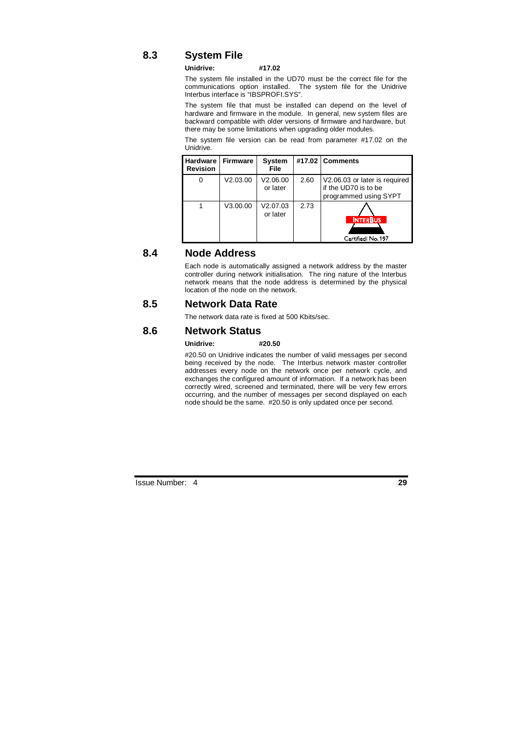## **8.3 System File**

#### **Unidrive: #17.02**

The system file installed in the UD70 must be the correct file for the communications option installed. The system file for the Unidrive Interbus interface is "IBSPROFI.SYS".

The system file that must be installed can depend on the level of hardware and firmware in the module. In general, new system files are backward compatible with older versions of firmware and hardware, but there may be some limitations when upgrading older modules.

The system file version can be read from parameter #17.02 on the Unidrive.

| <b>Hardware</b><br><b>Revision</b> | <b>Firmware</b> | System<br><b>File</b> |      | #17.02 Comments                                                                |
|------------------------------------|-----------------|-----------------------|------|--------------------------------------------------------------------------------|
| 0                                  | V2.03.00        | V2.06.00<br>or later  | 2.60 | V2.06.03 or later is required<br>if the UD70 is to be<br>programmed using SYPT |
|                                    | V3.00.00        | V2.07.03<br>or later  | 2.73 | <b>INTERBUS</b><br>Certified! No. 197                                          |

## **8.4 Node Address**

Each node is automatically assigned a network address by the master controller during network initialisation. The ring nature of the Interbus network means that the node address is determined by the physical location of the node on the network.

#### **8.5 Network Data Rate**

The network data rate is fixed at 500 Kbits/sec.

## **8.6 Network Status**

#### **Unidrive: #20.50**

#20.50 on Unidrive indicates the number of valid messages per second being received by the node. The Interbus network master controller addresses every node on the network once per network cycle, and exchanges the configured amount of information. If a network has been correctly wired, screened and terminated, there will be very few errors occurring, and the number of messages per second displayed on each node should be the same. #20.50 is only updated once per second.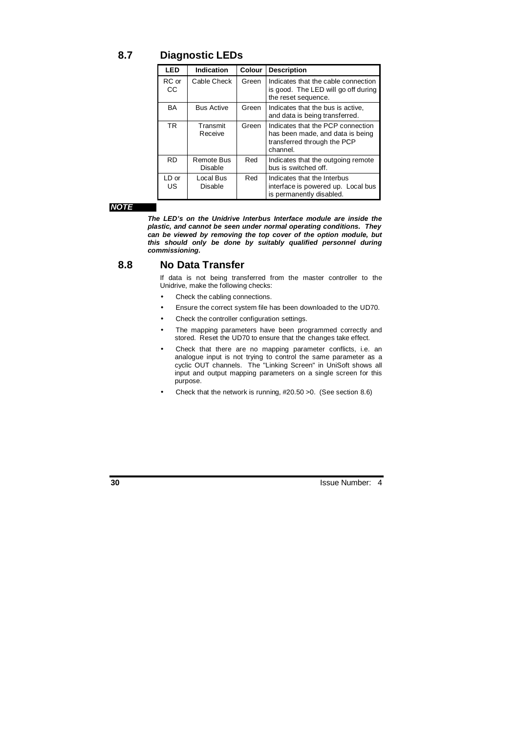**8.7 Diagnostic LEDs** 

| LED          | Indication            | Colour | <b>Description</b>                                                                                               |
|--------------|-----------------------|--------|------------------------------------------------------------------------------------------------------------------|
| RC or<br>СC  | Cable Check           | Green  | Indicates that the cable connection<br>is good. The LED will go off during<br>the reset sequence.                |
| BA           | <b>Bus Active</b>     | Green  | Indicates that the bus is active,<br>and data is being transferred.                                              |
| TR.          | Transmit<br>Receive   | Green  | Indicates that the PCP connection<br>has been made, and data is being<br>transferred through the PCP<br>channel. |
| <b>RD</b>    | Remote Bus<br>Disable | Red    | Indicates that the outgoing remote<br>bus is switched off.                                                       |
| LD or<br>US. | Local Bus<br>Disable  | Red    | Indicates that the Interbus<br>interface is powered up. Local bus<br>is permanently disabled.                    |

#### **NOTE**

**The LED's on the Unidrive Interbus Interface module are inside the plastic, and cannot be seen under normal operating conditions. They can be viewed by removing the top cover of the option module, but this should only be done by suitably qualified personnel during commissioning.** 

### **8.8 No Data Transfer**

If data is not being transferred from the master controller to the Unidrive, make the following checks:

- Check the cabling connections.
- Ensure the correct system file has been downloaded to the UD70.
- Check the controller configuration settings.
- The mapping parameters have been programmed correctly and stored. Reset the UD70 to ensure that the changes take effect.
- Check that there are no mapping parameter conflicts, i.e. an analogue input is not trying to control the same parameter as a cyclic OUT channels. The "Linking Screen" in UniSoft shows all input and output mapping parameters on a single screen for this purpose.
- Check that the network is running, #20.50 >0. (See section 8.6)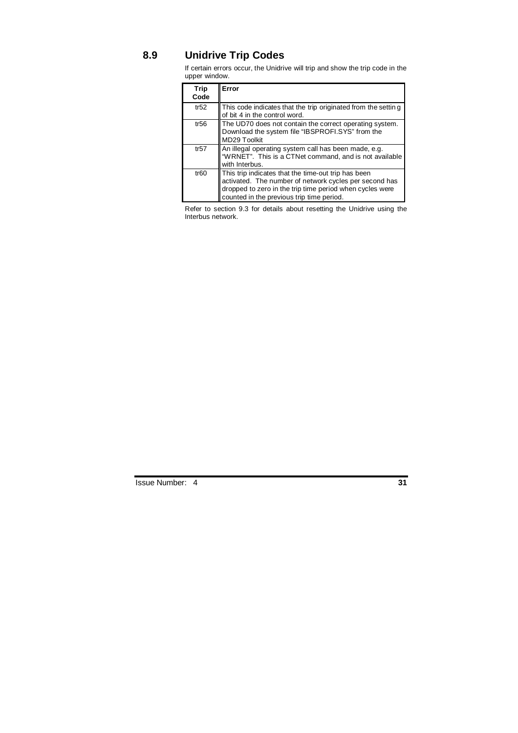# **8.9 Unidrive Trip Codes**

If certain errors occur, the Unidrive will trip and show the trip code in the upper window.

| Trip<br>Code     | Error                                                                                                                                                                                                                  |
|------------------|------------------------------------------------------------------------------------------------------------------------------------------------------------------------------------------------------------------------|
| tr $52$          | This code indicates that the trip originated from the settin g<br>of bit 4 in the control word.                                                                                                                        |
| tr56             | The UD70 does not contain the correct operating system.<br>Download the system file "IBSPROFI.SYS" from the<br>MD29 Toolkit                                                                                            |
| tr57             | An illegal operating system call has been made, e.g.<br>"WRNET". This is a CTNet command, and is not available<br>with Interbus.                                                                                       |
| tr <sub>60</sub> | This trip indicates that the time-out trip has been<br>activated. The number of network cycles per second has<br>dropped to zero in the trip time period when cycles were<br>counted in the previous trip time period. |

Refer to section 9.3 for details about resetting the Unidrive using the Interbus network.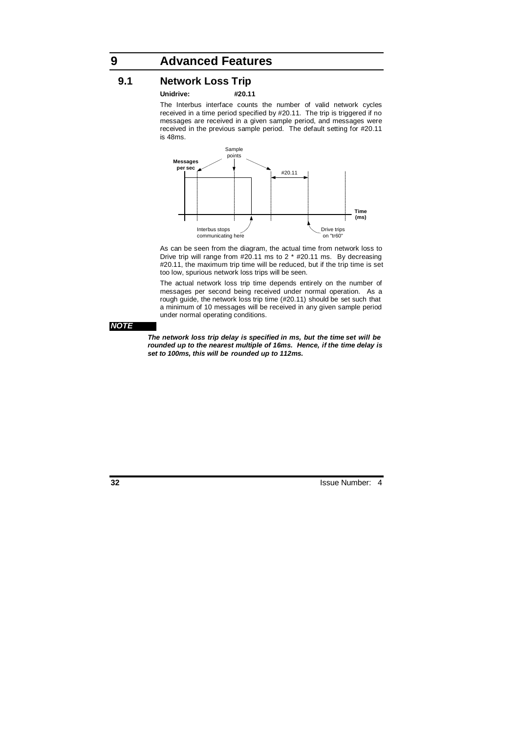# **9 Advanced Features**

## **9.1 Network Loss Trip**

#### **Unidrive: #20.11**

The Interbus interface counts the number of valid network cycles received in a time period specified by #20.11. The trip is triggered if no messages are received in a given sample period, and messages were received in the previous sample period. The default setting for #20.11 is 48ms.



As can be seen from the diagram, the actual time from network loss to Drive trip will range from #20.11 ms to 2 \* #20.11 ms. By decreasing #20.11, the maximum trip time will be reduced, but if the trip time is set too low, spurious network loss trips will be seen.

The actual network loss trip time depends entirely on the number of messages per second being received under normal operation. As a rough guide, the network loss trip time (#20.11) should be set such that a minimum of 10 messages will be received in any given sample period under normal operating conditions.

#### **NOTE**

**The network loss trip delay is specified in ms, but the time set will be rounded up to the nearest multiple of 16ms. Hence, if the time delay is set to 100ms, this will be rounded up to 112ms.**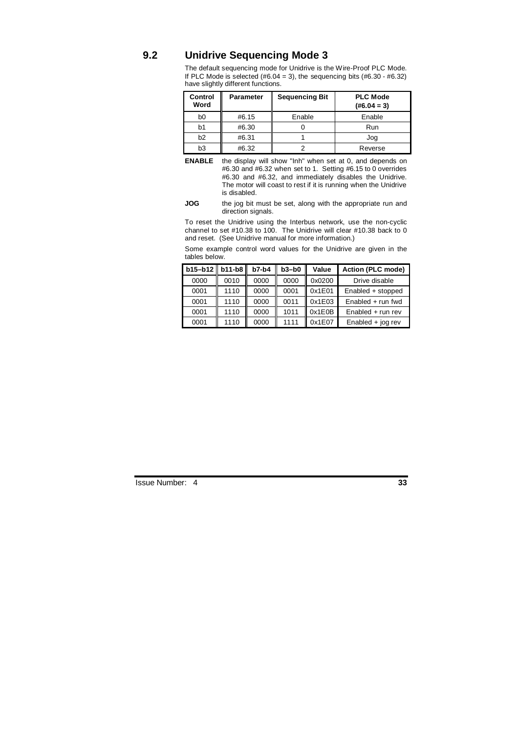## **9.2 Unidrive Sequencing Mode 3**

The default sequencing mode for Unidrive is the Wire-Proof PLC Mode. If PLC Mode is selected  $(\#6.04 = 3)$ , the sequencing bits  $(\#6.30 - \#6.32)$ have slightly different functions.

| Control<br>Word | <b>Parameter</b> | <b>Sequencing Bit</b> | <b>PLC Mode</b><br>$(H6.04 = 3)$ |
|-----------------|------------------|-----------------------|----------------------------------|
| b <sub>0</sub>  | #6.15            | Enable                | Enable                           |
| b1              | #6.30            |                       | Run                              |
| b2              | #6.31            |                       | Jog                              |
| b <sub>3</sub>  | #6.32            |                       | Reverse                          |

**ENABLE** the display will show "Inh" when set at 0, and depends on #6.30 and #6.32 when set to 1. Setting #6.15 to 0 overrides #6.30 and #6.32, and immediately disables the Unidrive. The motor will coast to rest if it is running when the Unidrive is disabled.

#### **JOG** the jog bit must be set, along with the appropriate run and direction signals.

To reset the Unidrive using the Interbus network, use the non-cyclic channel to set #10.38 to 100. The Unidrive will clear #10.38 back to 0 and reset. (See Unidrive manual for more information.)

Some example control word values for the Unidrive are given in the tables below.

| $b15 - b12$ | $b11-b8$ | $b7-b4$ | $b3-b0$ | Value  | Action (PLC mode)   |
|-------------|----------|---------|---------|--------|---------------------|
| 0000        | 0010     | 0000    | 0000    | 0x0200 | Drive disable       |
| 0001        | 1110     | 0000    | 0001    | 0x1E01 | Enabled + stopped   |
| 0001        | 1110     | 0000    | 0011    | 0x1E03 | Enabled $+$ run fwd |
| 0001        | 1110     | 0000    | 1011    | 0x1E0B | $Enabled + run rev$ |
| 0001        | 1110     | 0000    | 1111    | 0x1E07 | Enabled $+$ jog rev |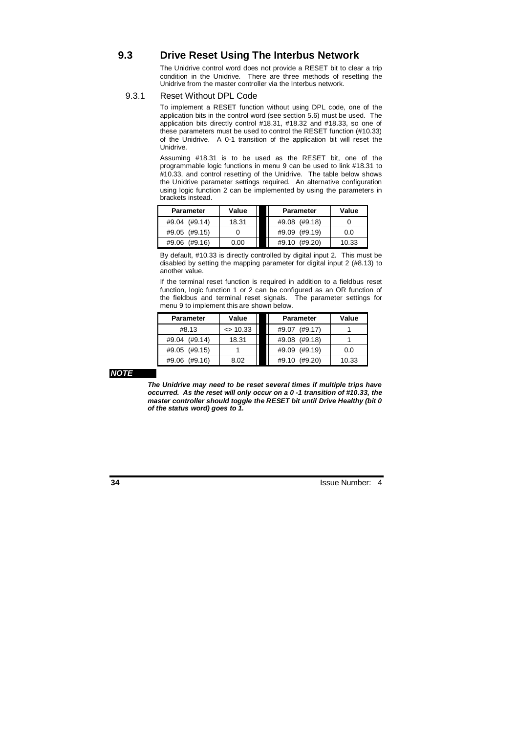## **9.3 Drive Reset Using The Interbus Network**

The Unidrive control word does not provide a RESET bit to clear a trip condition in the Unidrive. There are three methods of resetting the Unidrive from the master controller via the Interbus network.

#### 9.3.1 Reset Without DPL Code

To implement a RESET function without using DPL code, one of the application bits in the control word (see section 5.6) must be used. The application bits directly control #18.31, #18.32 and #18.33, so one of these parameters must be used to control the RESET function (#10.33) of the Unidrive. A 0-1 transition of the application bit will reset the Unidrive.

Assuming #18.31 is to be used as the RESET bit, one of the programmable logic functions in menu 9 can be used to link #18.31 to #10.33, and control resetting of the Unidrive. The table below shows the Unidrive parameter settings required. An alternative configuration using logic function 2 can be implemented by using the parameters in brackets instead.

| <b>Parameter</b> | Value | <b>Parameter</b> | Value |
|------------------|-------|------------------|-------|
| #9.04 (#9.14)    | 18.31 | #9.08 (#9.18)    |       |
| #9.05 (#9.15)    |       | #9.09 (#9.19)    | 0.0   |
| #9.06 (#9.16)    | 0.00  | #9.10 (#9.20)    | 10.33 |

By default, #10.33 is directly controlled by digital input 2. This must be disabled by setting the mapping parameter for digital input 2 (#8.13) to another value.

If the terminal reset function is required in addition to a fieldbus reset function, logic function 1 or 2 can be configured as an OR function of the fieldbus and terminal reset signals. The parameter settings for menu 9 to implement this are shown below.

| <b>Parameter</b> | Value       | <b>Parameter</b> | Value |
|------------------|-------------|------------------|-------|
| #8.13            | $\le$ 10.33 | (#9.17)<br>#9.07 |       |
| (H9.14)<br>#9.04 | 18.31       | #9.08 (#9.18)    |       |
| (#9.15)<br>#9.05 |             | #9.09 (#9.19)    | 0.0   |
| (#9.16)<br>#9.06 | 8.02        | (#9.20)<br>#9.10 | 10.33 |

#### **NOTE**

**The Unidrive may need to be reset several times if multiple trips have occurred. As the reset will only occur on a 0 -1 transition of #10.33, the master controller should toggle the RESET bit until Drive Healthy (bit 0 of the status word) goes to 1.**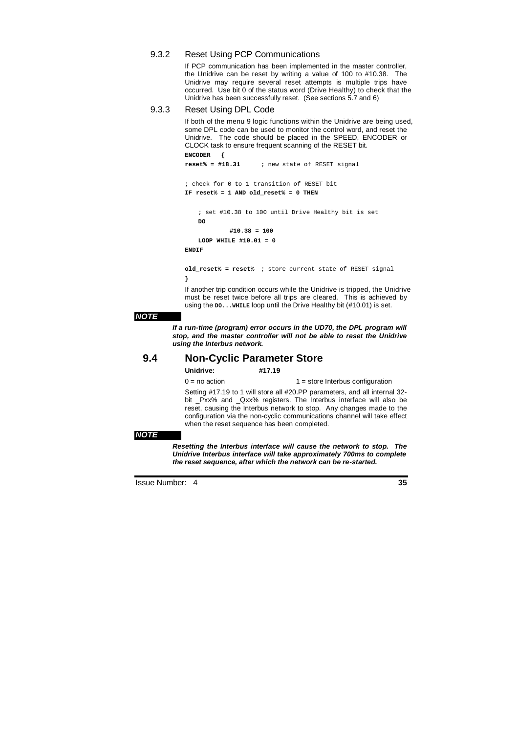### 9.3.2 Reset Using PCP Communications

If PCP communication has been implemented in the master controller, the Unidrive can be reset by writing a value of 100 to #10.38. The Unidrive may require several reset attempts is multiple trips have occurred. Use bit 0 of the status word (Drive Healthy) to check that the Unidrive has been successfully reset. (See sections 5.7 and 6)

### 9.3.3 Reset Using DPL Code

If both of the menu 9 logic functions within the Unidrive are being used, some DPL code can be used to monitor the control word, and reset the Unidrive. The code should be placed in the SPEED, ENCODER or CLOCK task to ensure frequent scanning of the RESET bit. **ENCODER {** 

```
; check for 0 to 1 transition of RESET bit 
IF reset% = 1 AND old_reset% = 0 THEN
```
**reset% = #18.31** ; new state of RESET signal

```
 ; set #10.38 to 100 until Drive Healthy bit is set 
\mathbf{D} #10.38 = 100 
 LOOP WHILE #10.01 = 0
```
**ENDIF** 

**old\_reset% = reset%** ; store current state of RESET signal **}** 

If another trip condition occurs while the Unidrive is tripped, the Unidrive must be reset twice before all trips are cleared. This is achieved by using the **DO... WHILE** loop until the Drive Healthy bit (#10.01) is set.

#### **NOTE**

**If a run-time (program) error occurs in the UD70, the DPL program will stop, and the master controller will not be able to reset the Unidrive using the Interbus network.** 

## **9.4 Non-Cyclic Parameter Store**

| Unidrive: | #17.19 |  |
|-----------|--------|--|
|           |        |  |

 $0 = no$  action  $1 = store$  Interbus configuration

Setting #17.19 to 1 will store all #20.PP parameters, and all internal 32 bit \_Pxx% and \_Qxx% registers. The Interbus interface will also be reset, causing the Interbus network to stop. Any changes made to the configuration via the non-cyclic communications channel will take effect when the reset sequence has been completed.

#### **NOTE**

**Resetting the Interbus interface will cause the network to stop. The Unidrive Interbus interface will take approximately 700ms to complete the reset sequence, after which the network can be re-started.**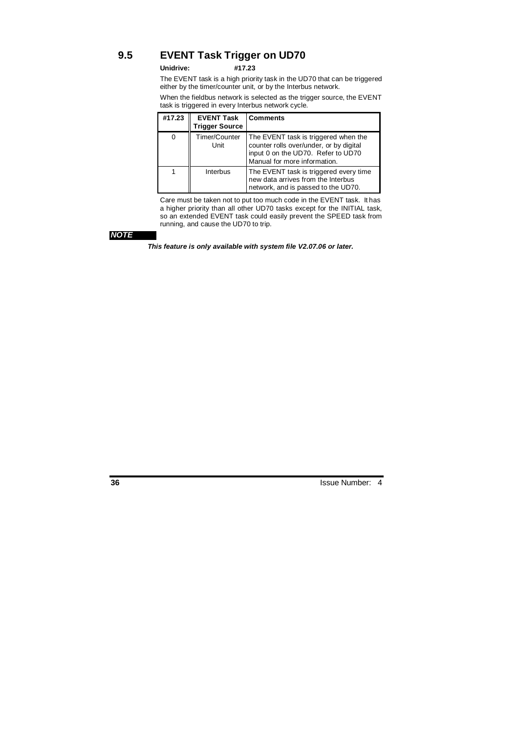# **9.5 EVENT Task Trigger on UD70**

#### **Unidrive: #17.23**

The EVENT task is a high priority task in the UD70 that can be triggered either by the timer/counter unit, or by the Interbus network.

When the fieldbus network is selected as the trigger source, the EVENT task is triggered in every Interbus network cycle.  $\overline{\phantom{a}}$ 

| #17.23 | <b>EVENT Task</b><br><b>Trigger Source</b> | <b>Comments</b>                                                                                                                                       |
|--------|--------------------------------------------|-------------------------------------------------------------------------------------------------------------------------------------------------------|
|        | Timer/Counter<br>Unit                      | The EVENT task is triggered when the<br>counter rolls over/under, or by digital<br>input 0 on the UD70. Refer to UD70<br>Manual for more information. |
|        | Interbus                                   | The EVENT task is triggered every time<br>new data arrives from the Interbus<br>network, and is passed to the UD70.                                   |

Care must be taken not to put too much code in the EVENT task. It has a higher priority than all other UD70 tasks except for the INITIAL task, so an extended EVENT task could easily prevent the SPEED task from running, and cause the UD70 to trip.

## **NOTE**

**This feature is only available with system file V2.07.06 or later.**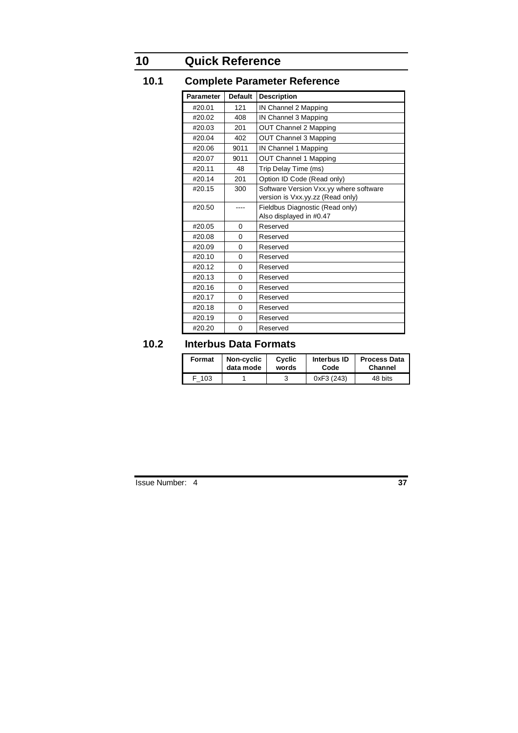# **10 Quick Reference**

# **10.1 Complete Parameter Reference**

| <b>Parameter</b> | <b>Default</b> | <b>Description</b>                                                         |
|------------------|----------------|----------------------------------------------------------------------------|
| #20.01           | 121            | IN Channel 2 Mapping                                                       |
| #20.02           | 408            | IN Channel 3 Mapping                                                       |
| #20.03           | 201            | OUT Channel 2 Mapping                                                      |
| #20.04           | 402            | <b>OUT Channel 3 Mapping</b>                                               |
| #20.06           | 9011           | IN Channel 1 Mapping                                                       |
| #20.07           | 9011           | OUT Channel 1 Mapping                                                      |
| #20.11           | 48             | Trip Delay Time (ms)                                                       |
| #20.14           | 201            | Option ID Code (Read only)                                                 |
| #20.15           | 300            | Software Version Vxx.yy where software<br>version is Vxx.yy.zz (Read only) |
| #20.50           |                | Fieldbus Diagnostic (Read only)<br>Also displayed in #0.47                 |
| #20.05           | $\Omega$       | Reserved                                                                   |
| #20.08           | 0              | Reserved                                                                   |
| #20.09           | 0              | Reserved                                                                   |
| #20.10           | $\Omega$       | Reserved                                                                   |
| #20.12           | 0              | Reserved                                                                   |
| #20.13           | $\overline{0}$ | Reserved                                                                   |
| #20.16           | 0              | Reserved                                                                   |
| #20.17           | $\overline{0}$ | Reserved                                                                   |
| #20.18           | 0              | Reserved                                                                   |
| #20.19           | 0              | Reserved                                                                   |
| #20.20           | $\Omega$       | Reserved                                                                   |

# **10.2 Interbus Data Formats**

| Format | Non-cyclic | Cyclic | Interbus ID | <b>Process Data</b> |
|--------|------------|--------|-------------|---------------------|
|        | data mode  | words  | Code        | <b>Channel</b>      |
| 103    |            |        | 0xF3 (243)  | 48 bits             |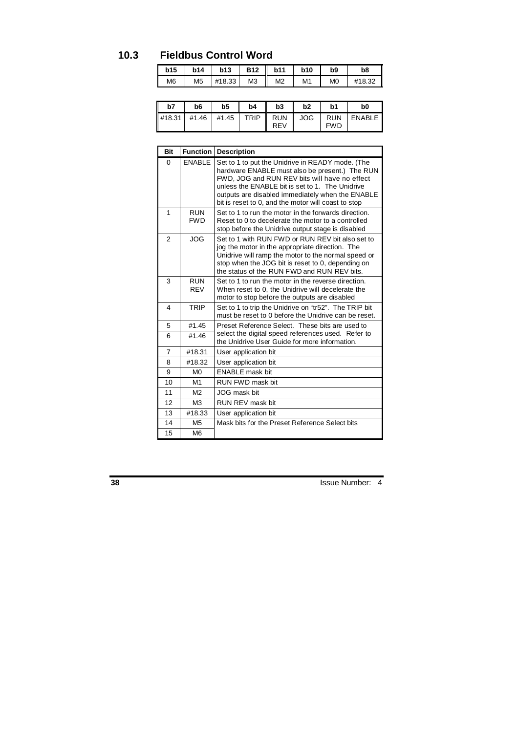# **10.3 Fieldbus Control Word**

| b15            | <b>b14</b>     | <b>b13</b> | <b>B12</b>     | b11            | <b>b10</b> | b9             | b8     |
|----------------|----------------|------------|----------------|----------------|------------|----------------|--------|
| M <sub>6</sub> | M <sub>5</sub> | #18.33     | M <sub>3</sub> | M <sub>2</sub> | M1         | M <sub>0</sub> | #18.32 |

| b7                                                                    | b6 | b <sub>5</sub> | b4 | b3  | b2 | b1         | b0         |
|-----------------------------------------------------------------------|----|----------------|----|-----|----|------------|------------|
| $\frac{418.31}{141.31}$ #1.46 $\frac{41.45}{141.45}$ TRIP RUN JOG RUN |    |                |    | REV |    | <b>FWD</b> | I ENABLE I |

| <b>Bit</b>     | <b>Function</b>          | <b>Description</b>                                                                                                                                                                                                                                                                                                |
|----------------|--------------------------|-------------------------------------------------------------------------------------------------------------------------------------------------------------------------------------------------------------------------------------------------------------------------------------------------------------------|
| $\Omega$       | <b>FNABLE</b>            | Set to 1 to put the Unidrive in READY mode. (The<br>hardware ENABLE must also be present.) The RUN<br>FWD, JOG and RUN REV bits will have no effect<br>unless the ENABLE bit is set to 1. The Unidrive<br>outputs are disabled immediately when the ENABLE<br>bit is reset to 0, and the motor will coast to stop |
| 1              | <b>RUN</b><br><b>FWD</b> | Set to 1 to run the motor in the forwards direction.<br>Reset to 0 to decelerate the motor to a controlled<br>stop before the Unidrive output stage is disabled                                                                                                                                                   |
| $\overline{2}$ | <b>JOG</b>               | Set to 1 with RUN FWD or RUN REV bit also set to<br>jog the motor in the appropriate direction. The<br>Unidrive will ramp the motor to the normal speed or<br>stop when the JOG bit is reset to 0, depending on<br>the status of the RUN FWD and RUN REV bits.                                                    |
| 3              | <b>RUN</b><br><b>RFV</b> | Set to 1 to run the motor in the reverse direction.<br>When reset to 0, the Unidrive will decelerate the<br>motor to stop before the outputs are disabled                                                                                                                                                         |
| 4              | <b>TRIP</b>              | Set to 1 to trip the Unidrive on "tr52". The TRIP bit<br>must be reset to 0 before the Unidrive can be reset.                                                                                                                                                                                                     |
| 5              | #1.45                    | Preset Reference Select. These bits are used to                                                                                                                                                                                                                                                                   |
| 6              | #1.46                    | select the digital speed references used. Refer to<br>the Unidrive User Guide for more information.                                                                                                                                                                                                               |
| 7              | #18.31                   | User application bit                                                                                                                                                                                                                                                                                              |
| 8              | #18.32                   | User application bit                                                                                                                                                                                                                                                                                              |
| 9              | M <sub>0</sub>           | <b>ENABLE</b> mask bit                                                                                                                                                                                                                                                                                            |
| 10             | M <sub>1</sub>           | RUN FWD mask bit                                                                                                                                                                                                                                                                                                  |
| 11             | M <sub>2</sub>           | JOG mask bit                                                                                                                                                                                                                                                                                                      |
| 12             | M <sub>3</sub>           | RUN REV mask bit                                                                                                                                                                                                                                                                                                  |
| 13             | #18.33                   | User application bit                                                                                                                                                                                                                                                                                              |
| 14             | M <sub>5</sub>           | Mask bits for the Preset Reference Select bits                                                                                                                                                                                                                                                                    |
| 15             | M6                       |                                                                                                                                                                                                                                                                                                                   |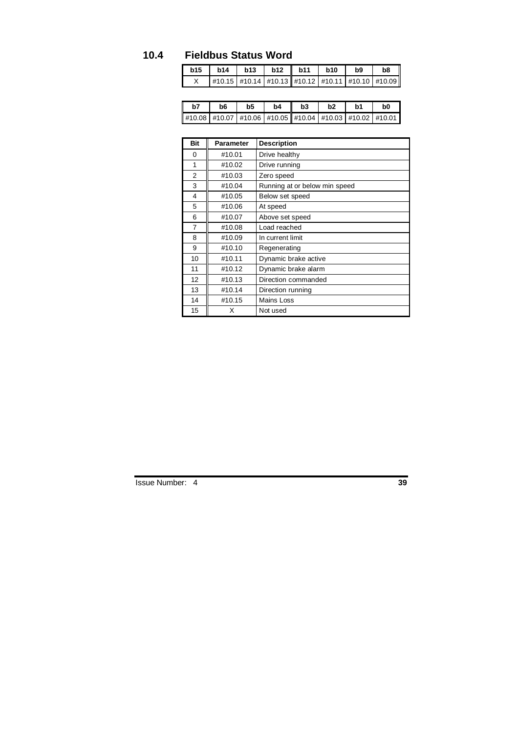# **10.4 Fieldbus Status Word**

| b15 | b14 | <b>b13</b> | $b12$ b11 | <b>b10</b> | b9 | b8                                                                 |
|-----|-----|------------|-----------|------------|----|--------------------------------------------------------------------|
|     |     |            |           |            |    | $\ $ #10.15   #10.14   #10.13    #10.12   #10.11   #10.10   #10.09 |

| b7 | b6                                                                     | b5 | b4 | b3 | b2 | .h1 | b0 |
|----|------------------------------------------------------------------------|----|----|----|----|-----|----|
|    | #10.08   #10.07   #10.06   #10.05    #10.04   #10.03   #10.02   #10.01 |    |    |    |    |     |    |

| <b>Bit</b> | <b>Parameter</b> | <b>Description</b>            |
|------------|------------------|-------------------------------|
| 0          | #10.01           | Drive healthy                 |
| 1          | #10.02           | Drive running                 |
| 2          | #10.03           | Zero speed                    |
| 3          | #10.04           | Running at or below min speed |
| 4          | #10.05           | Below set speed               |
| 5          | #10.06           | At speed                      |
| 6          | #10.07           | Above set speed               |
| 7          | #10.08           | Load reached                  |
| 8          | #10.09           | In current limit              |
| 9          | #10.10           | Regenerating                  |
| 10         | #10.11           | Dynamic brake active          |
| 11         | #10.12           | Dynamic brake alarm           |
| 12         | #10.13           | Direction commanded           |
| 13         | #10.14           | Direction running             |
| 14         | #10.15           | Mains Loss                    |
| 15         | х                | Not used                      |